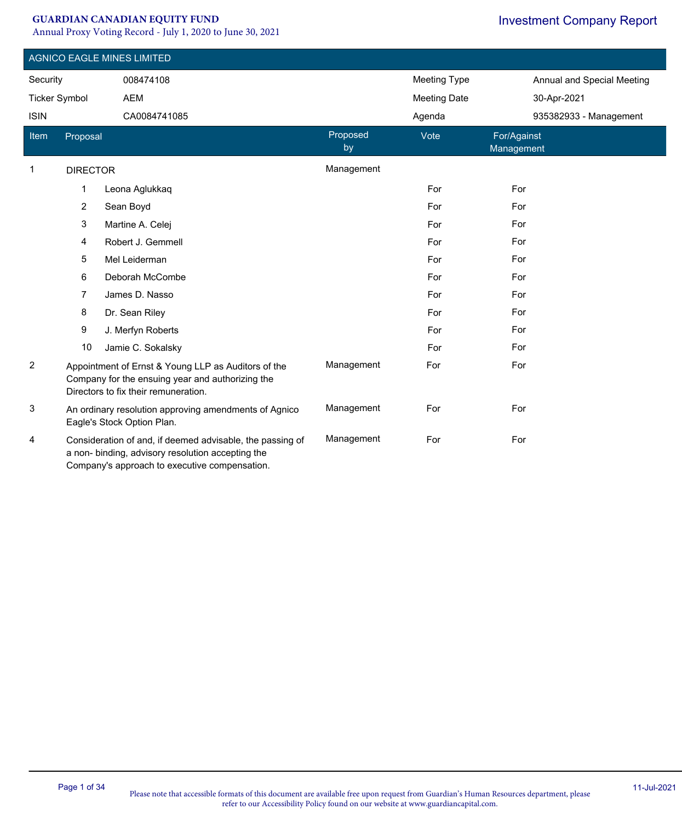#### **GUARDIAN CANADIAN EQUITY FUND**

Annual Proxy Voting Record - July 1, 2020 to June 30, 2021

|                      |                 | <b>AGNICO EAGLE MINES LIMITED</b>                                                                                                                               |                |                     |                            |  |
|----------------------|-----------------|-----------------------------------------------------------------------------------------------------------------------------------------------------------------|----------------|---------------------|----------------------------|--|
| Security             |                 | 008474108                                                                                                                                                       |                | <b>Meeting Type</b> | Annual and Special Meeting |  |
| <b>Ticker Symbol</b> |                 | <b>AEM</b>                                                                                                                                                      |                | <b>Meeting Date</b> | 30-Apr-2021                |  |
| <b>ISIN</b>          |                 | CA0084741085                                                                                                                                                    |                | Agenda              | 935382933 - Management     |  |
| Item                 | Proposal        |                                                                                                                                                                 | Proposed<br>by | Vote                | For/Against<br>Management  |  |
| 1                    | <b>DIRECTOR</b> |                                                                                                                                                                 | Management     |                     |                            |  |
|                      | $\mathbf 1$     | Leona Aglukkaq                                                                                                                                                  |                | For                 | For                        |  |
|                      | $\overline{c}$  | Sean Boyd                                                                                                                                                       |                | For                 | For                        |  |
|                      | 3               | Martine A. Celej                                                                                                                                                |                | For                 | For                        |  |
|                      | 4               | Robert J. Gemmell                                                                                                                                               |                | For                 | For                        |  |
|                      | 5               | Mel Leiderman                                                                                                                                                   |                | For                 | For                        |  |
|                      | 6               | Deborah McCombe                                                                                                                                                 |                | For                 | For                        |  |
|                      | $\overline{7}$  | James D. Nasso                                                                                                                                                  |                | For                 | For                        |  |
|                      | 8               | Dr. Sean Riley                                                                                                                                                  |                | For                 | For                        |  |
|                      | 9               | J. Merfyn Roberts                                                                                                                                               |                | For                 | For                        |  |
|                      | 10              | Jamie C. Sokalsky                                                                                                                                               |                | For                 | For                        |  |
| $\overline{2}$       |                 | Appointment of Ernst & Young LLP as Auditors of the<br>Company for the ensuing year and authorizing the<br>Directors to fix their remuneration.                 | Management     | For                 | For                        |  |
| 3                    |                 | An ordinary resolution approving amendments of Agnico<br>Eagle's Stock Option Plan.                                                                             | Management     | For                 | For                        |  |
| 4                    |                 | Consideration of and, if deemed advisable, the passing of<br>a non- binding, advisory resolution accepting the<br>Company's approach to executive compensation. | Management     | For                 | For                        |  |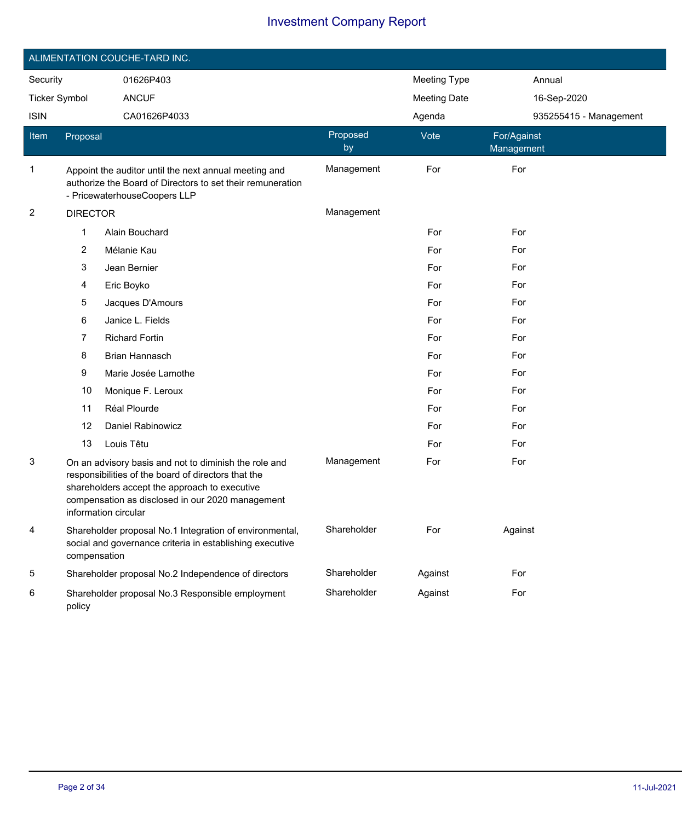|                         |                 | ALIMENTATION COUCHE-TARD INC.                                                                                                                                                                                                             |                     |                     |                           |  |
|-------------------------|-----------------|-------------------------------------------------------------------------------------------------------------------------------------------------------------------------------------------------------------------------------------------|---------------------|---------------------|---------------------------|--|
| Security<br>01626P403   |                 |                                                                                                                                                                                                                                           | <b>Meeting Type</b> | Annual              |                           |  |
| <b>Ticker Symbol</b>    |                 | <b>ANCUF</b>                                                                                                                                                                                                                              |                     | <b>Meeting Date</b> | 16-Sep-2020               |  |
| <b>ISIN</b>             |                 | CA01626P4033                                                                                                                                                                                                                              |                     | Agenda              | 935255415 - Management    |  |
| Item                    | Proposal        |                                                                                                                                                                                                                                           | Proposed<br>by      | Vote                | For/Against<br>Management |  |
| 1                       |                 | Appoint the auditor until the next annual meeting and<br>authorize the Board of Directors to set their remuneration<br>- PricewaterhouseCoopers LLP                                                                                       | Management          | For                 | For                       |  |
| $\overline{\mathbf{c}}$ | <b>DIRECTOR</b> |                                                                                                                                                                                                                                           | Management          |                     |                           |  |
|                         | 1               | Alain Bouchard                                                                                                                                                                                                                            |                     | For                 | For                       |  |
|                         | 2               | Mélanie Kau                                                                                                                                                                                                                               |                     | For                 | For                       |  |
|                         | 3               | Jean Bernier                                                                                                                                                                                                                              |                     | For                 | For                       |  |
|                         | 4               | Eric Boyko                                                                                                                                                                                                                                |                     | For                 | For                       |  |
|                         | 5               | Jacques D'Amours                                                                                                                                                                                                                          |                     | For                 | For                       |  |
|                         | 6               | Janice L. Fields                                                                                                                                                                                                                          |                     | For                 | For                       |  |
|                         | 7               | <b>Richard Fortin</b>                                                                                                                                                                                                                     |                     | For                 | For                       |  |
|                         | 8               | Brian Hannasch                                                                                                                                                                                                                            |                     | For                 | For                       |  |
|                         | 9               | Marie Josée Lamothe                                                                                                                                                                                                                       |                     | For                 | For                       |  |
|                         | 10              | Monique F. Leroux                                                                                                                                                                                                                         |                     | For                 | For                       |  |
|                         | 11              | Réal Plourde                                                                                                                                                                                                                              |                     | For                 | For                       |  |
|                         | 12              | Daniel Rabinowicz                                                                                                                                                                                                                         |                     | For                 | For                       |  |
|                         | 13              | Louis Têtu                                                                                                                                                                                                                                |                     | For                 | For                       |  |
| 3                       |                 | On an advisory basis and not to diminish the role and<br>responsibilities of the board of directors that the<br>shareholders accept the approach to executive<br>compensation as disclosed in our 2020 management<br>information circular | Management          | For                 | For                       |  |
| 4                       | compensation    | Shareholder proposal No.1 Integration of environmental,<br>social and governance criteria in establishing executive                                                                                                                       | Shareholder         | For                 | Against                   |  |
| 5                       |                 | Shareholder proposal No.2 Independence of directors                                                                                                                                                                                       | Shareholder         | Against             | For                       |  |
| 6                       | policy          | Shareholder proposal No.3 Responsible employment                                                                                                                                                                                          | Shareholder         | Against             | For                       |  |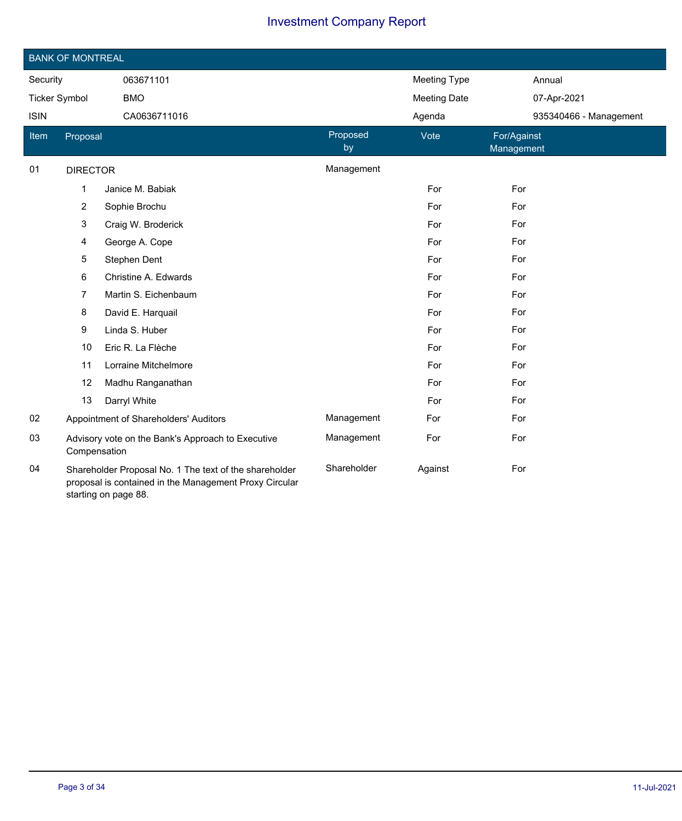|                      | <b>BANK OF MONTREAL</b> |                                                                                                                                          |                |                     |                           |
|----------------------|-------------------------|------------------------------------------------------------------------------------------------------------------------------------------|----------------|---------------------|---------------------------|
| Security             |                         | 063671101                                                                                                                                |                | <b>Meeting Type</b> | Annual                    |
| <b>Ticker Symbol</b> |                         | <b>BMO</b>                                                                                                                               |                | <b>Meeting Date</b> | 07-Apr-2021               |
| <b>ISIN</b>          | CA0636711016            |                                                                                                                                          |                | Agenda              | 935340466 - Management    |
| <b>Item</b>          | Proposal                |                                                                                                                                          | Proposed<br>by | Vote                | For/Against<br>Management |
| 01                   | <b>DIRECTOR</b>         |                                                                                                                                          | Management     |                     |                           |
|                      | 1                       | Janice M. Babiak                                                                                                                         |                | For                 | For                       |
|                      | 2                       | Sophie Brochu                                                                                                                            |                | For                 | For                       |
|                      | 3                       | Craig W. Broderick                                                                                                                       |                | For                 | For                       |
|                      | 4                       | George A. Cope                                                                                                                           |                | For                 | For                       |
|                      | 5                       | Stephen Dent                                                                                                                             |                | For                 | For                       |
|                      | 6                       | Christine A. Edwards                                                                                                                     |                | For                 | For                       |
|                      | 7                       | Martin S. Eichenbaum                                                                                                                     |                | For                 | For                       |
|                      | 8                       | David E. Harquail                                                                                                                        |                | For                 | For                       |
|                      | 9                       | Linda S. Huber                                                                                                                           |                | For                 | For                       |
|                      | 10                      | Eric R. La Flèche                                                                                                                        |                | For                 | For                       |
|                      | 11                      | Lorraine Mitchelmore                                                                                                                     |                | For                 | For                       |
|                      | 12                      | Madhu Ranganathan                                                                                                                        |                | For                 | For                       |
|                      | 13                      | Darryl White                                                                                                                             |                | For                 | For                       |
| 02                   |                         | Appointment of Shareholders' Auditors                                                                                                    | Management     | For                 | For                       |
| 03                   | Compensation            | Advisory vote on the Bank's Approach to Executive                                                                                        | Management     | For                 | For                       |
| 04                   |                         | Shareholder Proposal No. 1 The text of the shareholder<br>proposal is contained in the Management Proxy Circular<br>starting on page 88. | Shareholder    | Against             | For                       |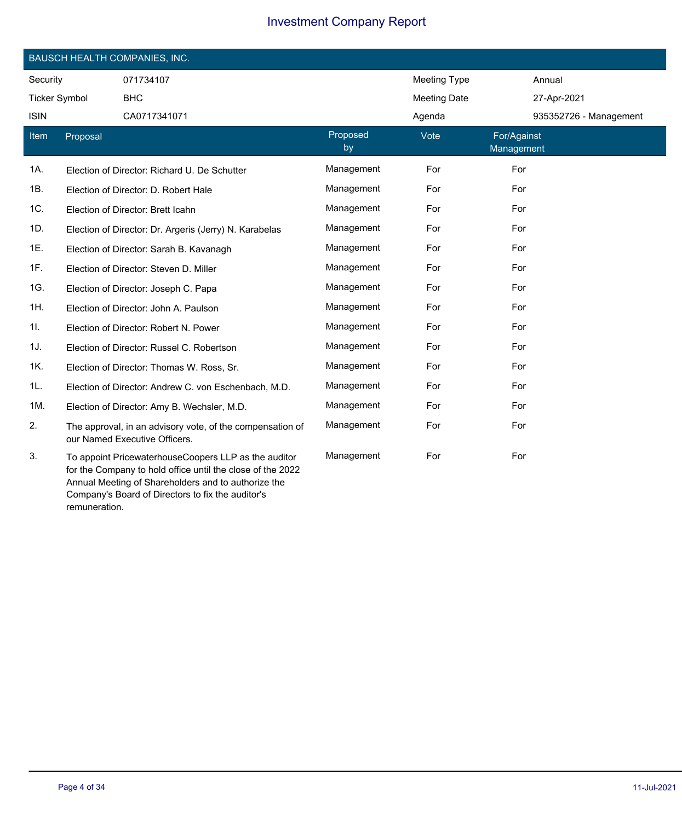|                      |          | <b>BAUSCH HEALTH COMPANIES, INC.</b>                                                                                                                                      |                |                     |                           |
|----------------------|----------|---------------------------------------------------------------------------------------------------------------------------------------------------------------------------|----------------|---------------------|---------------------------|
| Security             |          | 071734107                                                                                                                                                                 |                | Meeting Type        | Annual                    |
| <b>Ticker Symbol</b> |          | <b>BHC</b>                                                                                                                                                                |                | <b>Meeting Date</b> | 27-Apr-2021               |
| <b>ISIN</b>          |          | CA0717341071                                                                                                                                                              |                | Agenda              | 935352726 - Management    |
| Item                 | Proposal |                                                                                                                                                                           | Proposed<br>by | Vote                | For/Against<br>Management |
| 1A.                  |          | Election of Director: Richard U. De Schutter                                                                                                                              | Management     | For                 | For                       |
| 1B.                  |          | Election of Director: D. Robert Hale                                                                                                                                      | Management     | For                 | For                       |
| 1C.                  |          | Election of Director: Brett Icahn                                                                                                                                         | Management     | For                 | For                       |
| 1D.                  |          | Election of Director: Dr. Argeris (Jerry) N. Karabelas                                                                                                                    | Management     | For                 | For                       |
| 1E.                  |          | Election of Director: Sarah B. Kavanagh                                                                                                                                   | Management     | For                 | For                       |
| 1F.                  |          | Election of Director: Steven D. Miller                                                                                                                                    | Management     | For                 | For                       |
| 1G.                  |          | Election of Director: Joseph C. Papa                                                                                                                                      | Management     | For                 | For                       |
| 1H.                  |          | Election of Director: John A. Paulson                                                                                                                                     | Management     | For                 | For                       |
| 1I.                  |          | Election of Director: Robert N. Power                                                                                                                                     | Management     | For                 | For                       |
| 1J.                  |          | Election of Director: Russel C. Robertson                                                                                                                                 | Management     | For                 | For                       |
| 1K.                  |          | Election of Director: Thomas W. Ross, Sr.                                                                                                                                 | Management     | For                 | For                       |
| 1L.                  |          | Election of Director: Andrew C. von Eschenbach, M.D.                                                                                                                      | Management     | For                 | For                       |
| 1M.                  |          | Election of Director: Amy B. Wechsler, M.D.                                                                                                                               | Management     | For                 | For                       |
| 2.                   |          | The approval, in an advisory vote, of the compensation of<br>our Named Executive Officers.                                                                                | Management     | For                 | For                       |
| 3.                   |          | To appoint PricewaterhouseCoopers LLP as the auditor<br>for the Company to hold office until the close of the 2022<br>Annual Meeting of Shareholders and to authorize the | Management     | For                 | For                       |

remuneration.

Company's Board of Directors to fix the auditor's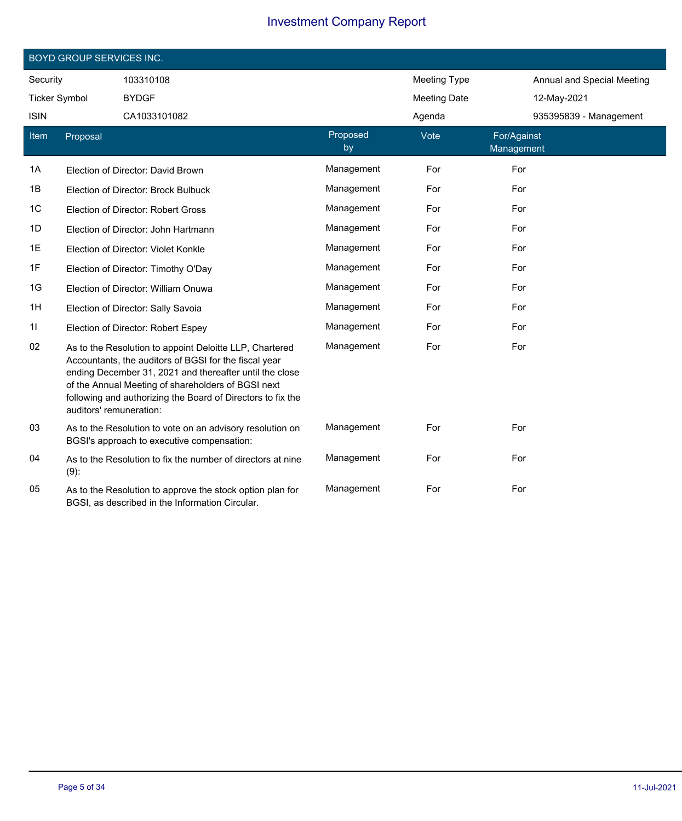|                      | <b>BOYD GROUP SERVICES INC.</b> |                                                                                                                                                                                                                                                                                                  |                |                     |                           |                            |
|----------------------|---------------------------------|--------------------------------------------------------------------------------------------------------------------------------------------------------------------------------------------------------------------------------------------------------------------------------------------------|----------------|---------------------|---------------------------|----------------------------|
| Security             |                                 | 103310108                                                                                                                                                                                                                                                                                        |                | <b>Meeting Type</b> |                           | Annual and Special Meeting |
| <b>Ticker Symbol</b> |                                 | <b>BYDGF</b>                                                                                                                                                                                                                                                                                     |                | <b>Meeting Date</b> |                           | 12-May-2021                |
| <b>ISIN</b>          |                                 | CA1033101082                                                                                                                                                                                                                                                                                     |                | Agenda              |                           | 935395839 - Management     |
| Item                 | Proposal                        |                                                                                                                                                                                                                                                                                                  | Proposed<br>by | Vote                | For/Against<br>Management |                            |
| 1A                   |                                 | Election of Director: David Brown                                                                                                                                                                                                                                                                | Management     | For                 | For                       |                            |
| 1B                   |                                 | Election of Director: Brock Bulbuck                                                                                                                                                                                                                                                              | Management     | For                 | For                       |                            |
| 1C                   |                                 | Election of Director: Robert Gross                                                                                                                                                                                                                                                               | Management     | For                 | For                       |                            |
| 1D                   |                                 | Election of Director: John Hartmann                                                                                                                                                                                                                                                              | Management     | For                 | For                       |                            |
| 1E                   |                                 | Election of Director: Violet Konkle                                                                                                                                                                                                                                                              | Management     | For                 | For                       |                            |
| 1F                   |                                 | Election of Director: Timothy O'Day                                                                                                                                                                                                                                                              | Management     | For                 | For                       |                            |
| 1G                   |                                 | Election of Director: William Onuwa                                                                                                                                                                                                                                                              | Management     | For                 | For                       |                            |
| 1H                   |                                 | Election of Director: Sally Savoia                                                                                                                                                                                                                                                               | Management     | For                 | For                       |                            |
| 11                   |                                 | Election of Director: Robert Espey                                                                                                                                                                                                                                                               | Management     | For                 | For                       |                            |
| 02                   | auditors' remuneration:         | As to the Resolution to appoint Deloitte LLP, Chartered<br>Accountants, the auditors of BGSI for the fiscal year<br>ending December 31, 2021 and thereafter until the close<br>of the Annual Meeting of shareholders of BGSI next<br>following and authorizing the Board of Directors to fix the | Management     | For                 | For                       |                            |
| 03                   |                                 | As to the Resolution to vote on an advisory resolution on<br>BGSI's approach to executive compensation:                                                                                                                                                                                          | Management     | For                 | For                       |                            |
| 04                   | $(9)$ :                         | As to the Resolution to fix the number of directors at nine                                                                                                                                                                                                                                      | Management     | For                 | For                       |                            |
| 05                   |                                 | As to the Resolution to approve the stock option plan for<br>BGSI, as described in the Information Circular.                                                                                                                                                                                     | Management     | For                 | For                       |                            |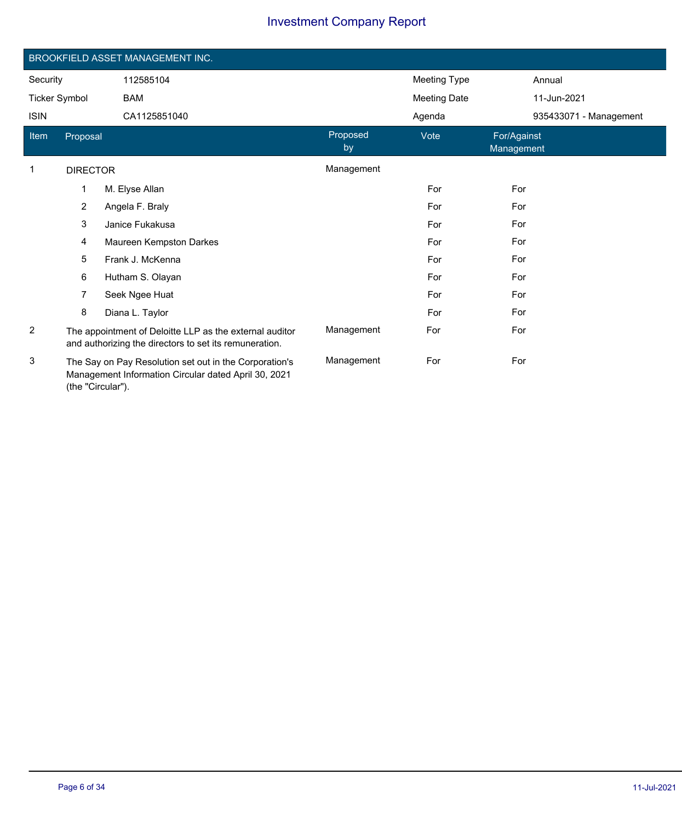|                      |                 | BROOKFIELD ASSET MANAGEMENT INC.                                                                                  |                |                     |                           |                        |
|----------------------|-----------------|-------------------------------------------------------------------------------------------------------------------|----------------|---------------------|---------------------------|------------------------|
| Security             |                 | 112585104                                                                                                         |                | <b>Meeting Type</b> |                           | Annual                 |
| <b>Ticker Symbol</b> |                 | <b>BAM</b>                                                                                                        |                | <b>Meeting Date</b> |                           | 11-Jun-2021            |
| <b>ISIN</b>          |                 | CA1125851040                                                                                                      |                | Agenda              |                           | 935433071 - Management |
| Item                 | Proposal        |                                                                                                                   | Proposed<br>by | Vote                | For/Against<br>Management |                        |
| 1                    | <b>DIRECTOR</b> |                                                                                                                   | Management     |                     |                           |                        |
|                      | 1               | M. Elyse Allan                                                                                                    |                | For                 | For                       |                        |
|                      | $\overline{2}$  | Angela F. Braly                                                                                                   |                | For                 | For                       |                        |
|                      | 3               | Janice Fukakusa                                                                                                   |                | For                 | For                       |                        |
|                      | $\overline{4}$  | Maureen Kempston Darkes                                                                                           |                | For                 | For                       |                        |
|                      | 5               | Frank J. McKenna                                                                                                  |                | For                 | For                       |                        |
|                      | 6               | Hutham S. Olayan                                                                                                  |                | For                 | For                       |                        |
|                      | 7               | Seek Ngee Huat                                                                                                    |                | For                 | For                       |                        |
|                      | 8               | Diana L. Taylor                                                                                                   |                | For                 | For                       |                        |
| $\overline{2}$       |                 | The appointment of Deloitte LLP as the external auditor<br>and authorizing the directors to set its remuneration. | Management     | For                 | For                       |                        |
| 3                    |                 | The Say on Pay Resolution set out in the Corporation's<br>Managament Information Circular dated April 20, 2021    | Management     | For                 | For                       |                        |

Management Information Circular dated April 30, 2021 (the "Circular").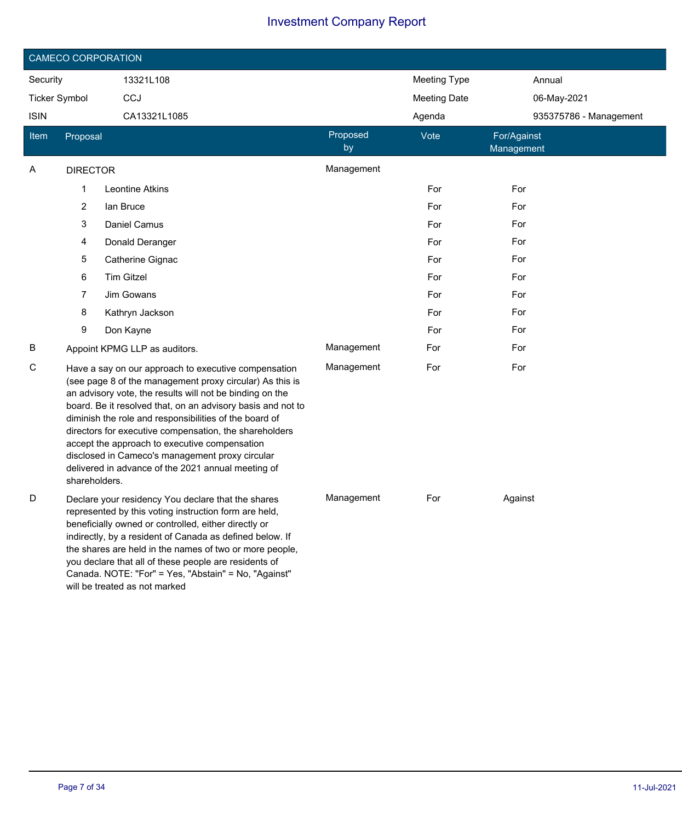|                             |                 | <b>CAMECO CORPORATION</b>                                                                                                                                                                                                                                                                                                                                                                                                                                                                                                 |                     |                     |                           |
|-----------------------------|-----------------|---------------------------------------------------------------------------------------------------------------------------------------------------------------------------------------------------------------------------------------------------------------------------------------------------------------------------------------------------------------------------------------------------------------------------------------------------------------------------------------------------------------------------|---------------------|---------------------|---------------------------|
| Security<br>13321L108       |                 |                                                                                                                                                                                                                                                                                                                                                                                                                                                                                                                           | <b>Meeting Type</b> | Annual              |                           |
| CCJ<br><b>Ticker Symbol</b> |                 |                                                                                                                                                                                                                                                                                                                                                                                                                                                                                                                           |                     | <b>Meeting Date</b> | 06-May-2021               |
| <b>ISIN</b>                 |                 | CA13321L1085                                                                                                                                                                                                                                                                                                                                                                                                                                                                                                              |                     | Agenda              | 935375786 - Management    |
| <b>Item</b>                 | Proposal        |                                                                                                                                                                                                                                                                                                                                                                                                                                                                                                                           | Proposed<br>by      | Vote                | For/Against<br>Management |
| Α                           | <b>DIRECTOR</b> |                                                                                                                                                                                                                                                                                                                                                                                                                                                                                                                           | Management          |                     |                           |
|                             | 1               | Leontine Atkins                                                                                                                                                                                                                                                                                                                                                                                                                                                                                                           |                     | For                 | For                       |
|                             | 2               | lan Bruce                                                                                                                                                                                                                                                                                                                                                                                                                                                                                                                 |                     | For                 | For                       |
|                             | 3               | Daniel Camus                                                                                                                                                                                                                                                                                                                                                                                                                                                                                                              |                     | For                 | For                       |
|                             | 4               | Donald Deranger                                                                                                                                                                                                                                                                                                                                                                                                                                                                                                           |                     | For                 | For                       |
|                             | 5               | Catherine Gignac                                                                                                                                                                                                                                                                                                                                                                                                                                                                                                          |                     | For                 | For                       |
|                             | 6               | <b>Tim Gitzel</b>                                                                                                                                                                                                                                                                                                                                                                                                                                                                                                         |                     | For                 | For                       |
|                             | 7               | Jim Gowans                                                                                                                                                                                                                                                                                                                                                                                                                                                                                                                |                     | For                 | For                       |
|                             | 8               | Kathryn Jackson                                                                                                                                                                                                                                                                                                                                                                                                                                                                                                           |                     | For                 | For                       |
|                             | 9               | Don Kayne                                                                                                                                                                                                                                                                                                                                                                                                                                                                                                                 |                     | For                 | For                       |
| В                           |                 | Appoint KPMG LLP as auditors.                                                                                                                                                                                                                                                                                                                                                                                                                                                                                             | Management          | For                 | For                       |
| С                           | shareholders.   | Have a say on our approach to executive compensation<br>(see page 8 of the management proxy circular) As this is<br>an advisory vote, the results will not be binding on the<br>board. Be it resolved that, on an advisory basis and not to<br>diminish the role and responsibilities of the board of<br>directors for executive compensation, the shareholders<br>accept the approach to executive compensation<br>disclosed in Cameco's management proxy circular<br>delivered in advance of the 2021 annual meeting of | Management          | For                 | For                       |
| D                           |                 | Declare your residency You declare that the shares<br>represented by this voting instruction form are held,<br>beneficially owned or controlled, either directly or<br>indirectly, by a resident of Canada as defined below. If<br>the shares are held in the names of two or more people,<br>you declare that all of these people are residents of<br>Canada. NOTE: "For" = Yes, "Abstain" = No, "Against"<br>will be treated as not marked                                                                              | Management          | For                 | Against                   |

I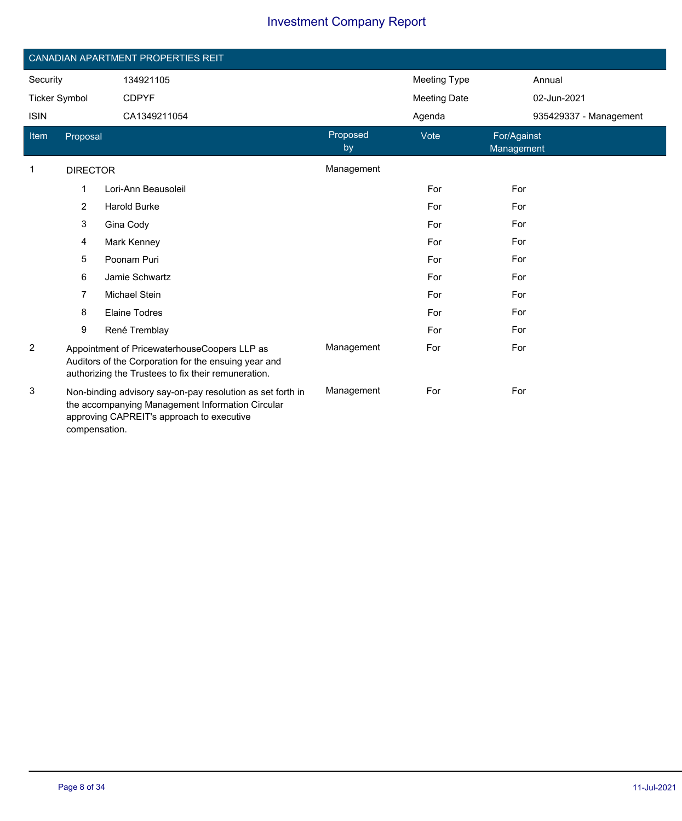|                      |                 | CANADIAN APARTMENT PROPERTIES REIT                                                                                                                          |                |                     |                           |
|----------------------|-----------------|-------------------------------------------------------------------------------------------------------------------------------------------------------------|----------------|---------------------|---------------------------|
| Security             |                 | 134921105                                                                                                                                                   |                | <b>Meeting Type</b> | Annual                    |
| <b>Ticker Symbol</b> |                 | <b>CDPYF</b>                                                                                                                                                |                |                     | 02-Jun-2021               |
| <b>ISIN</b>          |                 | CA1349211054                                                                                                                                                |                | Agenda              | 935429337 - Management    |
| Item                 | Proposal        |                                                                                                                                                             | Proposed<br>by | Vote                | For/Against<br>Management |
| $\mathbf{1}$         | <b>DIRECTOR</b> |                                                                                                                                                             | Management     |                     |                           |
|                      | $\mathbf 1$     | Lori-Ann Beausoleil                                                                                                                                         |                | For                 | For                       |
|                      | $\overline{2}$  | <b>Harold Burke</b>                                                                                                                                         |                | For                 | For                       |
|                      | 3               | Gina Cody                                                                                                                                                   |                | For                 | For                       |
|                      | 4               | Mark Kenney                                                                                                                                                 |                | For                 | For                       |
|                      | 5               | Poonam Puri                                                                                                                                                 |                | For                 | For                       |
|                      | 6               | Jamie Schwartz                                                                                                                                              |                | For                 | For                       |
|                      | 7               | <b>Michael Stein</b>                                                                                                                                        |                | For                 | For                       |
|                      | 8               | <b>Elaine Todres</b>                                                                                                                                        |                | For                 | For                       |
|                      | 9               | René Tremblay                                                                                                                                               |                | For                 | For                       |
| $\overline{c}$       |                 | Appointment of PricewaterhouseCoopers LLP as<br>Auditors of the Corporation for the ensuing year and<br>authorizing the Trustees to fix their remuneration. | Management     | For                 | For                       |
| 3                    | compensation.   | Non-binding advisory say-on-pay resolution as set forth in<br>the accompanying Management Information Circular<br>approving CAPREIT's approach to executive | Management     | For                 | For                       |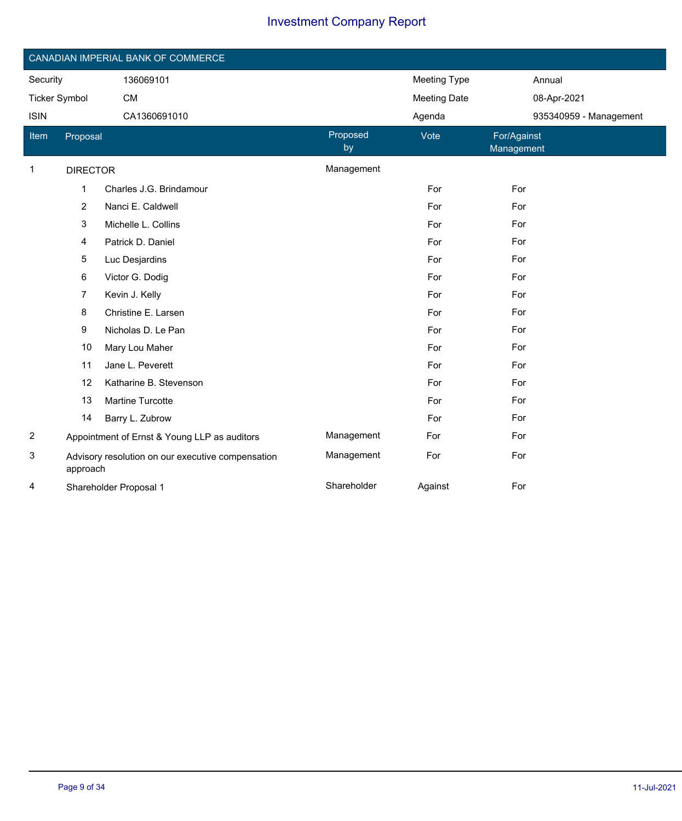|                      |                 | CANADIAN IMPERIAL BANK OF COMMERCE                |                |                     |                           |
|----------------------|-----------------|---------------------------------------------------|----------------|---------------------|---------------------------|
| Security             |                 | 136069101                                         |                | Meeting Type        | Annual                    |
| <b>Ticker Symbol</b> |                 | <b>CM</b>                                         |                | <b>Meeting Date</b> | 08-Apr-2021               |
| <b>ISIN</b>          | CA1360691010    |                                                   |                | Agenda              | 935340959 - Management    |
| ltem                 | Proposal        |                                                   | Proposed<br>by | Vote                | For/Against<br>Management |
| 1                    | <b>DIRECTOR</b> |                                                   | Management     |                     |                           |
|                      | $\mathbf{1}$    | Charles J.G. Brindamour                           |                | For                 | For                       |
|                      | $\overline{c}$  | Nanci E. Caldwell                                 |                | For                 | For                       |
|                      | 3               | Michelle L. Collins                               |                | For                 | For                       |
|                      | 4               | Patrick D. Daniel                                 |                | For                 | For                       |
|                      | 5               | Luc Desjardins                                    |                | For                 | For                       |
|                      | 6               | Victor G. Dodig                                   |                | For                 | For                       |
|                      | $\overline{7}$  | Kevin J. Kelly                                    |                | For                 | For                       |
|                      | 8               | Christine E. Larsen                               |                | For                 | For                       |
|                      | 9               | Nicholas D. Le Pan                                |                | For                 | For                       |
|                      | 10              | Mary Lou Maher                                    |                | For                 | For                       |
|                      | 11              | Jane L. Peverett                                  |                | For                 | For                       |
|                      | 12              | Katharine B. Stevenson                            |                | For                 | For                       |
|                      | 13              | Martine Turcotte                                  |                | For                 | For                       |
|                      | 14              | Barry L. Zubrow                                   |                | For                 | For                       |
| $\overline{c}$       |                 | Appointment of Ernst & Young LLP as auditors      | Management     | For                 | For                       |
| 3                    | approach        | Advisory resolution on our executive compensation | Management     | For                 | For                       |
| 4                    |                 | Shareholder Proposal 1                            | Shareholder    | Against             | For                       |

Ī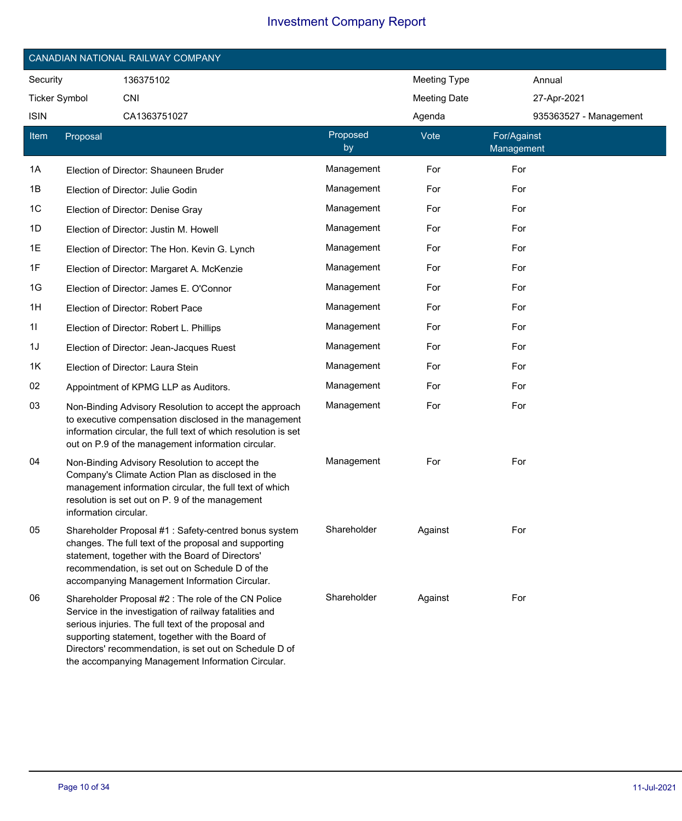|                      | CANADIAN NATIONAL RAILWAY COMPANY                                                                                                                                                                                                                                             |                                                                                                                                                                                   |                |                     |                           |                        |
|----------------------|-------------------------------------------------------------------------------------------------------------------------------------------------------------------------------------------------------------------------------------------------------------------------------|-----------------------------------------------------------------------------------------------------------------------------------------------------------------------------------|----------------|---------------------|---------------------------|------------------------|
| Security             | 136375102                                                                                                                                                                                                                                                                     |                                                                                                                                                                                   |                | <b>Meeting Type</b> |                           | Annual                 |
| <b>Ticker Symbol</b> | <b>CNI</b>                                                                                                                                                                                                                                                                    |                                                                                                                                                                                   |                | <b>Meeting Date</b> |                           | 27-Apr-2021            |
| <b>ISIN</b>          | CA1363751027                                                                                                                                                                                                                                                                  |                                                                                                                                                                                   |                | Agenda              |                           | 935363527 - Management |
| Item                 | Proposal                                                                                                                                                                                                                                                                      |                                                                                                                                                                                   | Proposed<br>by | Vote                | For/Against<br>Management |                        |
| 1A                   | Election of Director: Shauneen Bruder                                                                                                                                                                                                                                         |                                                                                                                                                                                   | Management     | For                 | For                       |                        |
| 1B                   | Election of Director: Julie Godin                                                                                                                                                                                                                                             |                                                                                                                                                                                   | Management     | For                 | For                       |                        |
| 1C                   | Election of Director: Denise Gray                                                                                                                                                                                                                                             |                                                                                                                                                                                   | Management     | For                 | For                       |                        |
| 1D                   | Election of Director: Justin M. Howell                                                                                                                                                                                                                                        |                                                                                                                                                                                   | Management     | For                 | For                       |                        |
| 1E                   | Election of Director: The Hon. Kevin G. Lynch                                                                                                                                                                                                                                 |                                                                                                                                                                                   | Management     | For                 | For                       |                        |
| 1F                   | Election of Director: Margaret A. McKenzie                                                                                                                                                                                                                                    |                                                                                                                                                                                   | Management     | For                 | For                       |                        |
| 1G                   | Election of Director: James E. O'Connor                                                                                                                                                                                                                                       |                                                                                                                                                                                   | Management     | For                 | For                       |                        |
| 1H                   | Election of Director: Robert Pace                                                                                                                                                                                                                                             |                                                                                                                                                                                   | Management     | For                 | For                       |                        |
| 11                   | Election of Director: Robert L. Phillips                                                                                                                                                                                                                                      |                                                                                                                                                                                   | Management     | For                 | For                       |                        |
| 1J                   | Election of Director: Jean-Jacques Ruest                                                                                                                                                                                                                                      |                                                                                                                                                                                   | Management     | For                 | For                       |                        |
| 1K                   | Election of Director: Laura Stein                                                                                                                                                                                                                                             |                                                                                                                                                                                   | Management     | For                 | For                       |                        |
| 02                   | Appointment of KPMG LLP as Auditors.                                                                                                                                                                                                                                          |                                                                                                                                                                                   | Management     | For                 | For                       |                        |
| 03                   | out on P.9 of the management information circular.                                                                                                                                                                                                                            | Non-Binding Advisory Resolution to accept the approach<br>to executive compensation disclosed in the management<br>information circular, the full text of which resolution is set | Management     | For                 | For                       |                        |
| 04                   | Non-Binding Advisory Resolution to accept the<br>Company's Climate Action Plan as disclosed in the<br>management information circular, the full text of which<br>resolution is set out on P. 9 of the management<br>information circular.                                     |                                                                                                                                                                                   | Management     | For                 | For                       |                        |
| 05                   | changes. The full text of the proposal and supporting<br>statement, together with the Board of Directors'<br>recommendation, is set out on Schedule D of the<br>accompanying Management Information Circular.                                                                 | Shareholder Proposal #1: Safety-centred bonus system                                                                                                                              | Shareholder    | Against             | For                       |                        |
| 06                   | Shareholder Proposal #2 : The role of the CN Police<br>Service in the investigation of railway fatalities and<br>serious injuries. The full text of the proposal and<br>supporting statement, together with the Board of<br>the accompanying Management Information Circular. | Directors' recommendation, is set out on Schedule D of                                                                                                                            | Shareholder    | Against             | For                       |                        |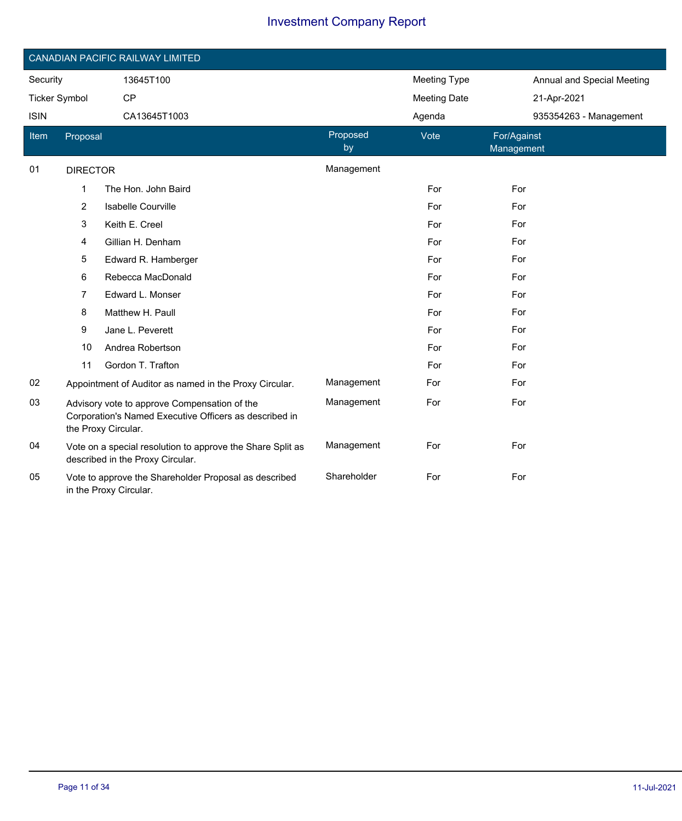|                      |                 | CANADIAN PACIFIC RAILWAY LIMITED                                                                                              |                |                     |                            |
|----------------------|-----------------|-------------------------------------------------------------------------------------------------------------------------------|----------------|---------------------|----------------------------|
| Security             |                 | 13645T100                                                                                                                     |                | <b>Meeting Type</b> | Annual and Special Meeting |
| <b>Ticker Symbol</b> |                 | CP                                                                                                                            |                | <b>Meeting Date</b> | 21-Apr-2021                |
| <b>ISIN</b>          |                 | CA13645T1003                                                                                                                  |                | Agenda              | 935354263 - Management     |
| Item                 | Proposal        |                                                                                                                               | Proposed<br>by | Vote                | For/Against<br>Management  |
| 01                   | <b>DIRECTOR</b> |                                                                                                                               | Management     |                     |                            |
|                      | 1               | The Hon. John Baird                                                                                                           |                | For                 | For                        |
|                      | 2               | <b>Isabelle Courville</b>                                                                                                     |                | For                 | For                        |
|                      | 3               | Keith E. Creel                                                                                                                |                | For                 | For                        |
|                      | 4               | Gillian H. Denham                                                                                                             |                | For                 | For                        |
|                      | 5               | Edward R. Hamberger                                                                                                           |                | For                 | For                        |
|                      | 6               | Rebecca MacDonald                                                                                                             |                | For                 | For                        |
|                      | 7               | Edward L. Monser                                                                                                              |                | For                 | For                        |
|                      | 8               | Matthew H. Paull                                                                                                              |                | For                 | For                        |
|                      | 9               | Jane L. Peverett                                                                                                              |                | For                 | For                        |
|                      | 10              | Andrea Robertson                                                                                                              |                | For                 | For                        |
|                      | 11              | Gordon T. Trafton                                                                                                             |                | For                 | For                        |
| 02                   |                 | Appointment of Auditor as named in the Proxy Circular.                                                                        | Management     | For                 | For                        |
| 03                   |                 | Advisory vote to approve Compensation of the<br>Corporation's Named Executive Officers as described in<br>the Proxy Circular. | Management     | For                 | For                        |
| 04                   |                 | Vote on a special resolution to approve the Share Split as<br>described in the Proxy Circular.                                | Management     | For                 | For                        |
| 05                   |                 | Vote to approve the Shareholder Proposal as described<br>in the Proxy Circular.                                               | Shareholder    | For                 | For                        |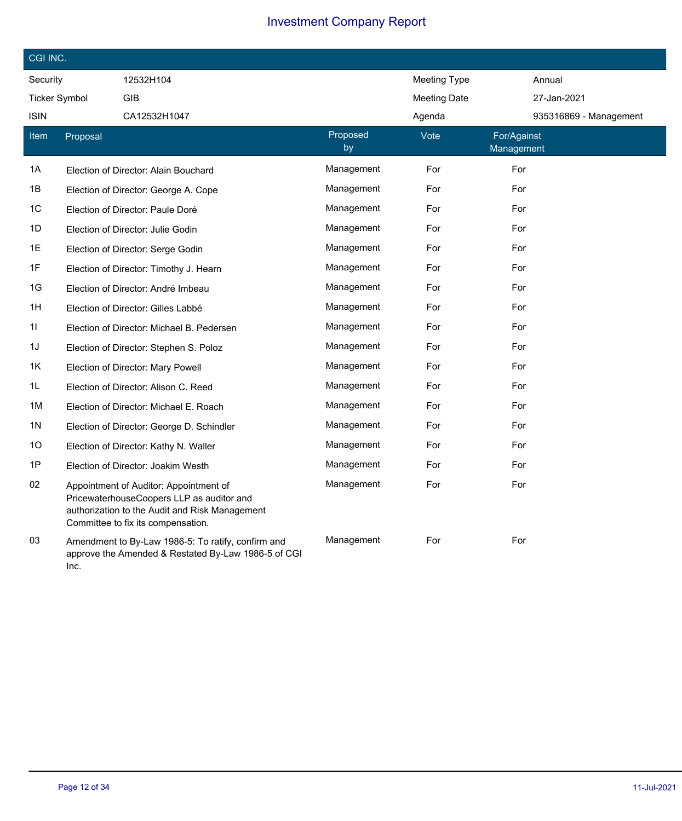| CGI INC.             |          |                                                                                                                                                                             |                |                     |                           |  |
|----------------------|----------|-----------------------------------------------------------------------------------------------------------------------------------------------------------------------------|----------------|---------------------|---------------------------|--|
| Security             |          | 12532H104                                                                                                                                                                   |                | <b>Meeting Type</b> | Annual                    |  |
| <b>Ticker Symbol</b> |          | <b>GIB</b>                                                                                                                                                                  |                | <b>Meeting Date</b> | 27-Jan-2021               |  |
| ISIN                 |          | CA12532H1047                                                                                                                                                                |                | Agenda              | 935316869 - Management    |  |
| Item                 | Proposal |                                                                                                                                                                             | Proposed<br>by | Vote                | For/Against<br>Management |  |
| 1A                   |          | Election of Director: Alain Bouchard                                                                                                                                        | Management     | For                 | For                       |  |
| 1B                   |          | Election of Director: George A. Cope                                                                                                                                        | Management     | For                 | For                       |  |
| 1C                   |          | Election of Director: Paule Doré                                                                                                                                            | Management     | For                 | For                       |  |
| 1D                   |          | Election of Director: Julie Godin                                                                                                                                           | Management     | For                 | For                       |  |
| 1E                   |          | Election of Director: Serge Godin                                                                                                                                           | Management     | For                 | For                       |  |
| 1F                   |          | Election of Director: Timothy J. Hearn                                                                                                                                      | Management     | For                 | For                       |  |
| 1G                   |          | Election of Director: André Imbeau                                                                                                                                          | Management     | For                 | For                       |  |
| 1H                   |          | Election of Director: Gilles Labbé                                                                                                                                          | Management     | For                 | For                       |  |
| 11                   |          | Election of Director: Michael B. Pedersen                                                                                                                                   | Management     | For                 | For                       |  |
| 1J                   |          | Election of Director: Stephen S. Poloz                                                                                                                                      | Management     | For                 | For                       |  |
| 1K                   |          | Election of Director: Mary Powell                                                                                                                                           | Management     | For                 | For                       |  |
| 1L                   |          | Election of Director: Alison C. Reed                                                                                                                                        | Management     | For                 | For                       |  |
| 1M                   |          | Election of Director: Michael E. Roach                                                                                                                                      | Management     | For                 | For                       |  |
| 1N                   |          | Election of Director: George D. Schindler                                                                                                                                   | Management     | For                 | For                       |  |
| 10                   |          | Election of Director: Kathy N. Waller                                                                                                                                       | Management     | For                 | For                       |  |
| 1P                   |          | Election of Director: Joakim Westh                                                                                                                                          | Management     | For                 | For                       |  |
| 02                   |          | Appointment of Auditor: Appointment of<br>PricewaterhouseCoopers LLP as auditor and<br>authorization to the Audit and Risk Management<br>Committee to fix its compensation. | Management     | For                 | For                       |  |
| 03                   | Inc.     | Amendment to By-Law 1986-5: To ratify, confirm and<br>approve the Amended & Restated By-Law 1986-5 of CGI                                                                   | Management     | For                 | For                       |  |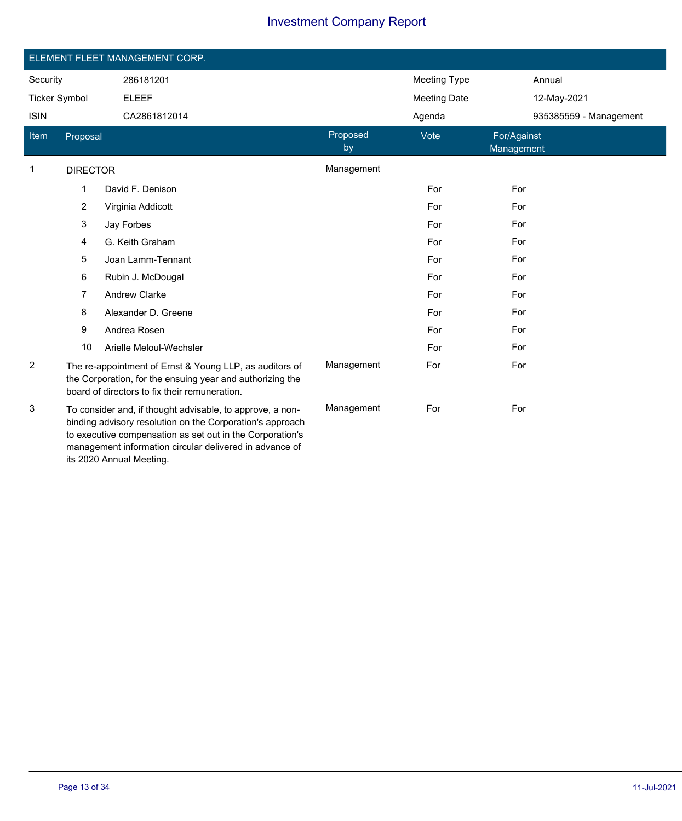|                      |                                                                                                                                                                                                                                                                            | ELEMENT FLEET MANAGEMENT CORP.                                                                                                                                        |                |                     |                           |  |  |  |  |
|----------------------|----------------------------------------------------------------------------------------------------------------------------------------------------------------------------------------------------------------------------------------------------------------------------|-----------------------------------------------------------------------------------------------------------------------------------------------------------------------|----------------|---------------------|---------------------------|--|--|--|--|
|                      |                                                                                                                                                                                                                                                                            |                                                                                                                                                                       |                |                     |                           |  |  |  |  |
| Security             |                                                                                                                                                                                                                                                                            | 286181201                                                                                                                                                             |                | <b>Meeting Type</b> | Annual                    |  |  |  |  |
| <b>Ticker Symbol</b> |                                                                                                                                                                                                                                                                            | <b>ELEEF</b>                                                                                                                                                          |                | <b>Meeting Date</b> | 12-May-2021               |  |  |  |  |
| <b>ISIN</b>          |                                                                                                                                                                                                                                                                            | CA2861812014                                                                                                                                                          |                | Agenda              | 935385559 - Management    |  |  |  |  |
| Item                 | Proposal                                                                                                                                                                                                                                                                   |                                                                                                                                                                       | Proposed<br>by | Vote                | For/Against<br>Management |  |  |  |  |
| $\mathbf 1$          | <b>DIRECTOR</b>                                                                                                                                                                                                                                                            |                                                                                                                                                                       | Management     |                     |                           |  |  |  |  |
|                      | 1                                                                                                                                                                                                                                                                          | David F. Denison                                                                                                                                                      |                | For                 | For                       |  |  |  |  |
|                      | 2                                                                                                                                                                                                                                                                          | Virginia Addicott                                                                                                                                                     |                | For                 | For                       |  |  |  |  |
|                      | 3                                                                                                                                                                                                                                                                          | Jay Forbes                                                                                                                                                            |                | For                 | For                       |  |  |  |  |
|                      | 4                                                                                                                                                                                                                                                                          | G. Keith Graham                                                                                                                                                       |                | For                 | For                       |  |  |  |  |
|                      | 5                                                                                                                                                                                                                                                                          | Joan Lamm-Tennant                                                                                                                                                     |                | For                 | For                       |  |  |  |  |
|                      | 6                                                                                                                                                                                                                                                                          | Rubin J. McDougal                                                                                                                                                     |                | For                 | For                       |  |  |  |  |
|                      | 7                                                                                                                                                                                                                                                                          | <b>Andrew Clarke</b>                                                                                                                                                  |                | For                 | For                       |  |  |  |  |
|                      | 8                                                                                                                                                                                                                                                                          | Alexander D. Greene                                                                                                                                                   |                | For                 | For                       |  |  |  |  |
|                      | 9                                                                                                                                                                                                                                                                          | Andrea Rosen                                                                                                                                                          |                | For                 | For                       |  |  |  |  |
|                      | 10                                                                                                                                                                                                                                                                         | Arielle Meloul-Wechsler                                                                                                                                               |                | For                 | For                       |  |  |  |  |
| 2                    |                                                                                                                                                                                                                                                                            | The re-appointment of Ernst & Young LLP, as auditors of<br>the Corporation, for the ensuing year and authorizing the<br>board of directors to fix their remuneration. | Management     | For                 | For                       |  |  |  |  |
| 3                    | To consider and, if thought advisable, to approve, a non-<br>binding advisory resolution on the Corporation's approach<br>to executive compensation as set out in the Corporation's<br>management information circular delivered in advance of<br>its 2020 Annual Meeting. |                                                                                                                                                                       | Management     | For                 | For                       |  |  |  |  |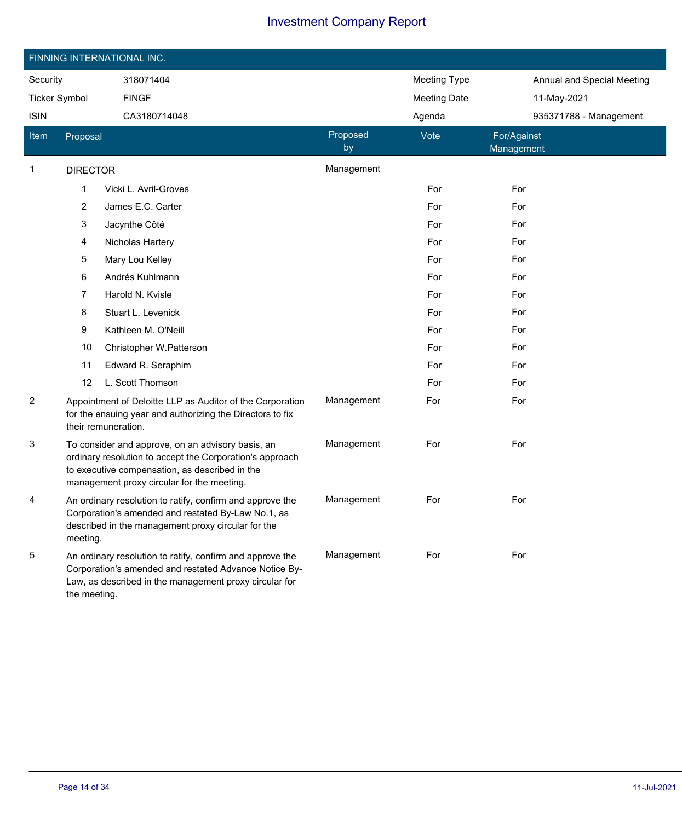|                       | FINNING INTERNATIONAL INC.                                                                                                                                                                                    |                                                                                                                                               |                     |                            |                           |  |  |  |
|-----------------------|---------------------------------------------------------------------------------------------------------------------------------------------------------------------------------------------------------------|-----------------------------------------------------------------------------------------------------------------------------------------------|---------------------|----------------------------|---------------------------|--|--|--|
| Security<br>318071404 |                                                                                                                                                                                                               |                                                                                                                                               | <b>Meeting Type</b> | Annual and Special Meeting |                           |  |  |  |
| <b>Ticker Symbol</b>  |                                                                                                                                                                                                               | <b>FINGF</b>                                                                                                                                  |                     | <b>Meeting Date</b>        | 11-May-2021               |  |  |  |
| <b>ISIN</b>           |                                                                                                                                                                                                               | CA3180714048                                                                                                                                  |                     | Agenda                     | 935371788 - Management    |  |  |  |
| <b>Item</b>           | Proposal                                                                                                                                                                                                      |                                                                                                                                               | Proposed<br>by      | Vote                       | For/Against<br>Management |  |  |  |
| 1                     | <b>DIRECTOR</b>                                                                                                                                                                                               |                                                                                                                                               | Management          |                            |                           |  |  |  |
|                       | 1                                                                                                                                                                                                             | Vicki L. Avril-Groves                                                                                                                         |                     | For                        | For                       |  |  |  |
|                       | 2                                                                                                                                                                                                             | James E.C. Carter                                                                                                                             |                     | For                        | For                       |  |  |  |
|                       | 3                                                                                                                                                                                                             | Jacynthe Côté                                                                                                                                 |                     | For                        | For                       |  |  |  |
|                       | 4                                                                                                                                                                                                             | Nicholas Hartery                                                                                                                              |                     | For                        | For                       |  |  |  |
|                       | 5                                                                                                                                                                                                             | Mary Lou Kelley                                                                                                                               |                     | For                        | For                       |  |  |  |
|                       | 6                                                                                                                                                                                                             | Andrés Kuhlmann                                                                                                                               |                     | For                        | For                       |  |  |  |
|                       | 7                                                                                                                                                                                                             | Harold N. Kvisle                                                                                                                              |                     | For                        | For                       |  |  |  |
|                       | 8                                                                                                                                                                                                             | Stuart L. Levenick                                                                                                                            |                     | For                        | For                       |  |  |  |
|                       | 9                                                                                                                                                                                                             | Kathleen M. O'Neill                                                                                                                           |                     | For                        | For                       |  |  |  |
|                       | 10                                                                                                                                                                                                            | Christopher W.Patterson                                                                                                                       |                     | For                        | For                       |  |  |  |
|                       | 11                                                                                                                                                                                                            | Edward R. Seraphim                                                                                                                            |                     | For                        | For                       |  |  |  |
|                       | 12                                                                                                                                                                                                            | L. Scott Thomson                                                                                                                              |                     | For                        | For                       |  |  |  |
| $\overline{c}$        |                                                                                                                                                                                                               | Appointment of Deloitte LLP as Auditor of the Corporation<br>for the ensuing year and authorizing the Directors to fix<br>their remuneration. | Management          | For                        | For                       |  |  |  |
| 3                     | To consider and approve, on an advisory basis, an<br>ordinary resolution to accept the Corporation's approach<br>to executive compensation, as described in the<br>management proxy circular for the meeting. |                                                                                                                                               | Management          | For                        | For                       |  |  |  |
| 4                     | An ordinary resolution to ratify, confirm and approve the<br>Corporation's amended and restated By-Law No.1, as<br>described in the management proxy circular for the<br>meeting.                             |                                                                                                                                               | Management          | For                        | For                       |  |  |  |
| 5                     | An ordinary resolution to ratify, confirm and approve the<br>Corporation's amended and restated Advance Notice By-<br>Law, as described in the management proxy circular for<br>the meeting.                  |                                                                                                                                               | Management          | For                        | For                       |  |  |  |

I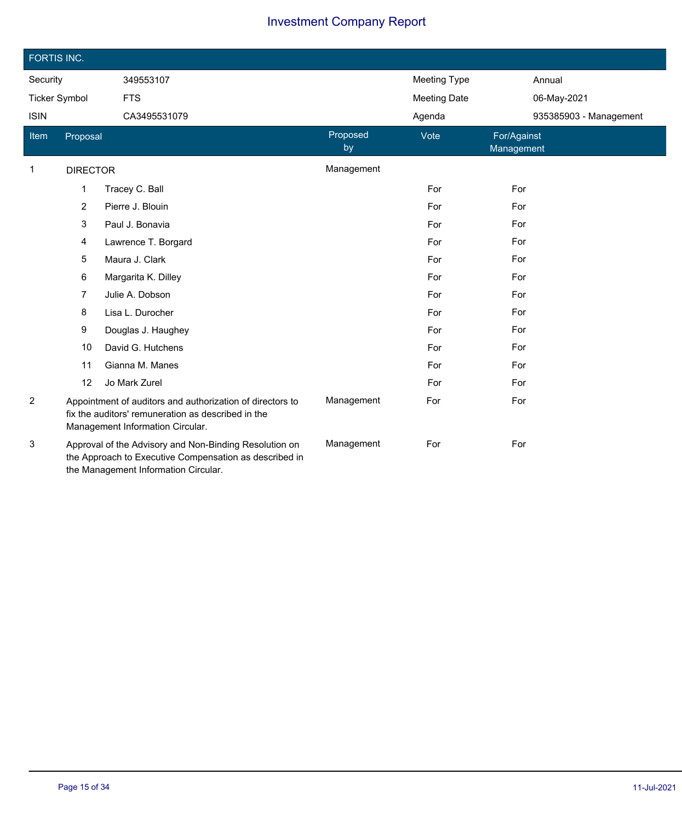|                      | FORTIS INC.     |                                                                                                                                                          |                |                     |                           |  |  |  |
|----------------------|-----------------|----------------------------------------------------------------------------------------------------------------------------------------------------------|----------------|---------------------|---------------------------|--|--|--|
| Security             |                 | 349553107                                                                                                                                                |                | <b>Meeting Type</b> | Annual                    |  |  |  |
| <b>Ticker Symbol</b> |                 | <b>FTS</b>                                                                                                                                               |                | <b>Meeting Date</b> | 06-May-2021               |  |  |  |
| <b>ISIN</b>          |                 | CA3495531079                                                                                                                                             |                | Agenda              | 935385903 - Management    |  |  |  |
| <b>Item</b>          | Proposal        |                                                                                                                                                          | Proposed<br>by | Vote                | For/Against<br>Management |  |  |  |
| $\mathbf{1}$         | <b>DIRECTOR</b> |                                                                                                                                                          | Management     |                     |                           |  |  |  |
|                      | 1               | Tracey C. Ball                                                                                                                                           |                | For                 | For                       |  |  |  |
|                      | 2               | Pierre J. Blouin                                                                                                                                         |                | For                 | For                       |  |  |  |
|                      | 3               | Paul J. Bonavia                                                                                                                                          |                | For                 | For                       |  |  |  |
|                      | 4               | Lawrence T. Borgard                                                                                                                                      |                | For                 | For                       |  |  |  |
|                      | 5               | Maura J. Clark                                                                                                                                           |                | For                 | For                       |  |  |  |
|                      | 6               | Margarita K. Dilley                                                                                                                                      |                | For                 | For                       |  |  |  |
|                      | 7               | Julie A. Dobson                                                                                                                                          |                | For                 | For                       |  |  |  |
|                      | 8               | Lisa L. Durocher                                                                                                                                         |                | For                 | For                       |  |  |  |
|                      | 9               | Douglas J. Haughey                                                                                                                                       |                | For                 | For                       |  |  |  |
|                      | 10              | David G. Hutchens                                                                                                                                        |                | For                 | For                       |  |  |  |
|                      | 11              | Gianna M. Manes                                                                                                                                          |                | For                 | For                       |  |  |  |
|                      | 12              | Jo Mark Zurel                                                                                                                                            |                | For                 | For                       |  |  |  |
| 2                    |                 | Appointment of auditors and authorization of directors to<br>fix the auditors' remuneration as described in the<br>Management Information Circular.      | Management     | For                 | For                       |  |  |  |
| 3                    |                 | Approval of the Advisory and Non-Binding Resolution on<br>the Approach to Executive Compensation as described in<br>the Management Information Circular. | Management     | For                 | For                       |  |  |  |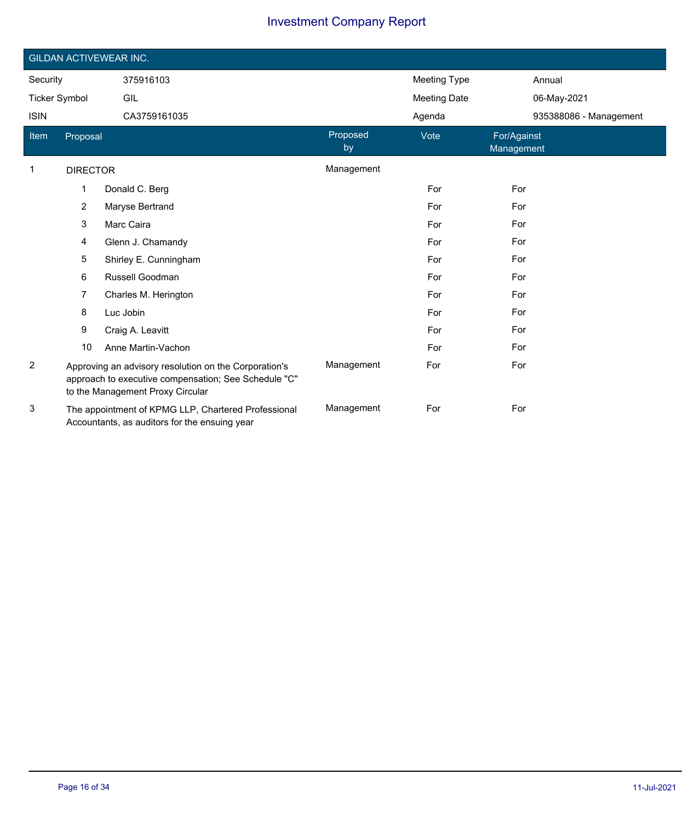|                      | <b>GILDAN ACTIVEWEAR INC.</b> |                                                                                                                                                   |                |                     |                           |  |  |  |  |
|----------------------|-------------------------------|---------------------------------------------------------------------------------------------------------------------------------------------------|----------------|---------------------|---------------------------|--|--|--|--|
| Security             |                               | 375916103                                                                                                                                         |                | <b>Meeting Type</b> | Annual                    |  |  |  |  |
| <b>Ticker Symbol</b> |                               | GIL                                                                                                                                               |                | <b>Meeting Date</b> | 06-May-2021               |  |  |  |  |
| <b>ISIN</b>          |                               | CA3759161035                                                                                                                                      |                | Agenda              | 935388086 - Management    |  |  |  |  |
| Item                 | Proposal                      |                                                                                                                                                   | Proposed<br>by | Vote                | For/Against<br>Management |  |  |  |  |
| $\mathbf 1$          | <b>DIRECTOR</b>               |                                                                                                                                                   | Management     |                     |                           |  |  |  |  |
|                      | 1                             | Donald C. Berg                                                                                                                                    |                | For                 | For                       |  |  |  |  |
|                      | $\overline{2}$                | Maryse Bertrand                                                                                                                                   |                | For                 | For                       |  |  |  |  |
|                      | 3                             | Marc Caira                                                                                                                                        |                | For                 | For                       |  |  |  |  |
|                      | 4                             | Glenn J. Chamandy                                                                                                                                 |                | For                 | For                       |  |  |  |  |
|                      | 5                             | Shirley E. Cunningham                                                                                                                             |                | For                 | For                       |  |  |  |  |
|                      | 6                             | Russell Goodman                                                                                                                                   |                | For                 | For                       |  |  |  |  |
|                      | 7                             | Charles M. Herington                                                                                                                              |                | For                 | For                       |  |  |  |  |
|                      | 8                             | Luc Jobin                                                                                                                                         |                | For                 | For                       |  |  |  |  |
|                      | 9                             | Craig A. Leavitt                                                                                                                                  |                | For                 | For                       |  |  |  |  |
|                      | 10                            | Anne Martin-Vachon                                                                                                                                |                | For                 | For                       |  |  |  |  |
| $\overline{c}$       |                               | Approving an advisory resolution on the Corporation's<br>approach to executive compensation; See Schedule "C"<br>to the Management Proxy Circular | Management     | For                 | For                       |  |  |  |  |
| 3                    |                               | The appointment of KPMG LLP, Chartered Professional<br>Accountants, as auditors for the ensuing year                                              | Management     | For                 | For                       |  |  |  |  |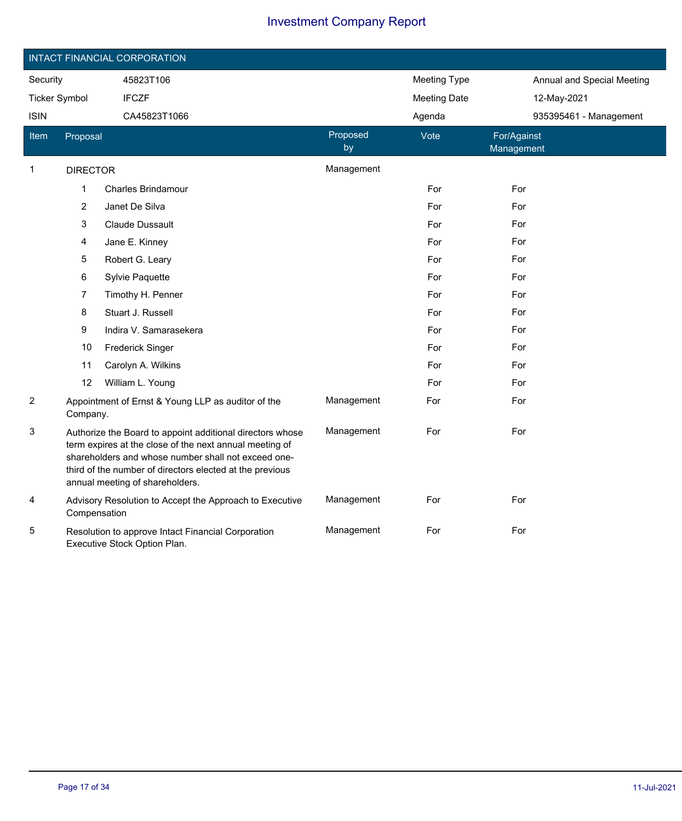|                                      | INTACT FINANCIAL CORPORATION |                                                                                                                                                                                                                                                                            |                     |             |                            |                        |  |  |  |
|--------------------------------------|------------------------------|----------------------------------------------------------------------------------------------------------------------------------------------------------------------------------------------------------------------------------------------------------------------------|---------------------|-------------|----------------------------|------------------------|--|--|--|
| Security<br>45823T106                |                              |                                                                                                                                                                                                                                                                            | <b>Meeting Type</b> |             | Annual and Special Meeting |                        |  |  |  |
| <b>IFCZF</b><br><b>Ticker Symbol</b> |                              |                                                                                                                                                                                                                                                                            | <b>Meeting Date</b> | 12-May-2021 |                            |                        |  |  |  |
| <b>ISIN</b>                          |                              | CA45823T1066                                                                                                                                                                                                                                                               |                     | Agenda      |                            | 935395461 - Management |  |  |  |
| Item                                 | Proposal                     |                                                                                                                                                                                                                                                                            | Proposed<br>by      | Vote        | For/Against<br>Management  |                        |  |  |  |
| 1                                    | <b>DIRECTOR</b>              |                                                                                                                                                                                                                                                                            | Management          |             |                            |                        |  |  |  |
|                                      | $\mathbf{1}$                 | <b>Charles Brindamour</b>                                                                                                                                                                                                                                                  |                     | For         | For                        |                        |  |  |  |
|                                      | $\boldsymbol{2}$             | Janet De Silva                                                                                                                                                                                                                                                             |                     | For         | For                        |                        |  |  |  |
|                                      | 3                            | Claude Dussault                                                                                                                                                                                                                                                            |                     | For         | For                        |                        |  |  |  |
|                                      | 4                            | Jane E. Kinney                                                                                                                                                                                                                                                             |                     | For         | For                        |                        |  |  |  |
|                                      | 5                            | Robert G. Leary                                                                                                                                                                                                                                                            |                     | For         | For                        |                        |  |  |  |
|                                      | 6                            | Sylvie Paquette                                                                                                                                                                                                                                                            |                     | For         | For                        |                        |  |  |  |
|                                      | 7                            | Timothy H. Penner                                                                                                                                                                                                                                                          |                     | For         | For                        |                        |  |  |  |
|                                      | 8                            | Stuart J. Russell                                                                                                                                                                                                                                                          |                     | For         | For                        |                        |  |  |  |
|                                      | 9                            | Indira V. Samarasekera                                                                                                                                                                                                                                                     |                     | For         | For                        |                        |  |  |  |
|                                      | 10                           | <b>Frederick Singer</b>                                                                                                                                                                                                                                                    |                     | For         | For                        |                        |  |  |  |
|                                      | 11                           | Carolyn A. Wilkins                                                                                                                                                                                                                                                         |                     | For         | For                        |                        |  |  |  |
|                                      | 12                           | William L. Young                                                                                                                                                                                                                                                           |                     | For         | For                        |                        |  |  |  |
| $\overline{c}$                       | Company.                     | Appointment of Ernst & Young LLP as auditor of the                                                                                                                                                                                                                         | Management          | For         | For                        |                        |  |  |  |
| 3                                    |                              | Authorize the Board to appoint additional directors whose<br>term expires at the close of the next annual meeting of<br>shareholders and whose number shall not exceed one-<br>third of the number of directors elected at the previous<br>annual meeting of shareholders. | Management          | For         | For                        |                        |  |  |  |
| 4                                    | Compensation                 | Advisory Resolution to Accept the Approach to Executive                                                                                                                                                                                                                    | Management          | For         | For                        |                        |  |  |  |
| 5                                    |                              | Resolution to approve Intact Financial Corporation<br>Executive Stock Option Plan.                                                                                                                                                                                         | Management          | For         | For                        |                        |  |  |  |

I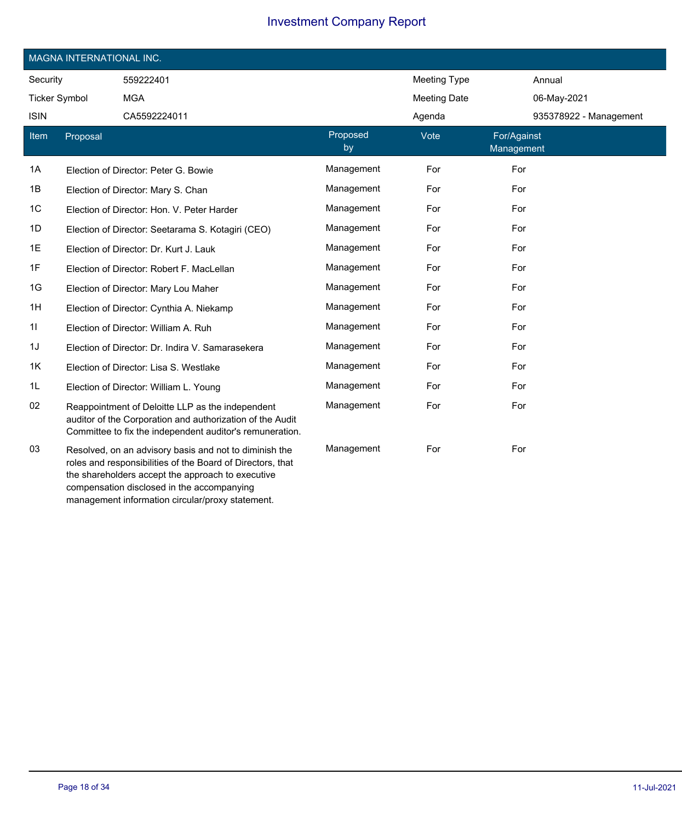|                      | MAGNA INTERNATIONAL INC. |                                                                                                                                                                                                                         |                |                     |                           |  |  |  |
|----------------------|--------------------------|-------------------------------------------------------------------------------------------------------------------------------------------------------------------------------------------------------------------------|----------------|---------------------|---------------------------|--|--|--|
| Security             |                          | 559222401                                                                                                                                                                                                               |                | <b>Meeting Type</b> | Annual                    |  |  |  |
| <b>Ticker Symbol</b> |                          | <b>MGA</b>                                                                                                                                                                                                              |                | <b>Meeting Date</b> | 06-May-2021               |  |  |  |
| <b>ISIN</b>          |                          | CA5592224011                                                                                                                                                                                                            |                | Agenda              | 935378922 - Management    |  |  |  |
| Item                 | Proposal                 |                                                                                                                                                                                                                         | Proposed<br>by | Vote                | For/Against<br>Management |  |  |  |
| 1A                   |                          | Election of Director: Peter G. Bowie                                                                                                                                                                                    | Management     | For                 | For                       |  |  |  |
| 1B                   |                          | Election of Director: Mary S. Chan                                                                                                                                                                                      | Management     | For                 | For                       |  |  |  |
| 1C                   |                          | Election of Director: Hon. V. Peter Harder                                                                                                                                                                              | Management     | For                 | For                       |  |  |  |
| 1D                   |                          | Election of Director: Seetarama S. Kotagiri (CEO)                                                                                                                                                                       | Management     | For                 | For                       |  |  |  |
| 1E                   |                          | Election of Director: Dr. Kurt J. Lauk                                                                                                                                                                                  | Management     | For                 | For                       |  |  |  |
| 1F                   |                          | Election of Director: Robert F. MacLellan                                                                                                                                                                               | Management     | For                 | For                       |  |  |  |
| 1G                   |                          | Election of Director: Mary Lou Maher                                                                                                                                                                                    | Management     | For                 | For                       |  |  |  |
| 1H                   |                          | Election of Director: Cynthia A. Niekamp                                                                                                                                                                                | Management     | For                 | For                       |  |  |  |
| 11                   |                          | Election of Director: William A. Ruh                                                                                                                                                                                    | Management     | For                 | For                       |  |  |  |
| 1J                   |                          | Election of Director: Dr. Indira V. Samarasekera                                                                                                                                                                        | Management     | For                 | For                       |  |  |  |
| 1K                   |                          | Election of Director: Lisa S. Westlake                                                                                                                                                                                  | Management     | For                 | For                       |  |  |  |
| 1L                   |                          | Election of Director: William L. Young                                                                                                                                                                                  | Management     | For                 | For                       |  |  |  |
| 02                   |                          | Reappointment of Deloitte LLP as the independent<br>auditor of the Corporation and authorization of the Audit<br>Committee to fix the independent auditor's remuneration.                                               | Management     | For                 | For                       |  |  |  |
| 03                   |                          | Resolved, on an advisory basis and not to diminish the<br>roles and responsibilities of the Board of Directors, that<br>the shareholders accept the approach to executive<br>compensation disclosed in the accompanying | Management     | For                 | For                       |  |  |  |

management information circular/proxy statement.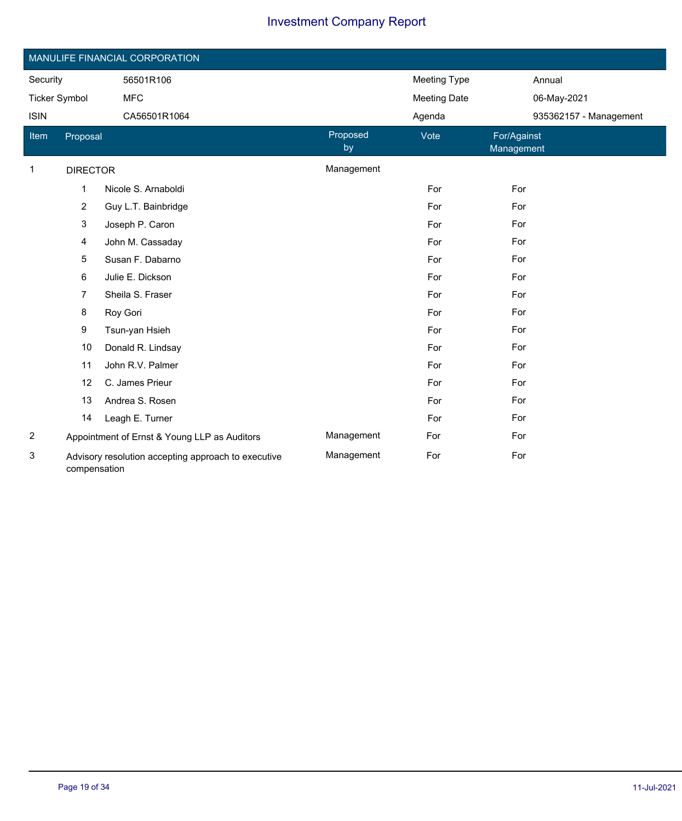|                      | MANULIFE FINANCIAL CORPORATION                                      |                                              |                |                     |                           |  |  |  |  |
|----------------------|---------------------------------------------------------------------|----------------------------------------------|----------------|---------------------|---------------------------|--|--|--|--|
| Security             |                                                                     | 56501R106                                    |                | Meeting Type        | Annual                    |  |  |  |  |
| <b>Ticker Symbol</b> |                                                                     | <b>MFC</b>                                   |                | <b>Meeting Date</b> | 06-May-2021               |  |  |  |  |
| <b>ISIN</b>          |                                                                     | CA56501R1064                                 |                | Agenda              | 935362157 - Management    |  |  |  |  |
| Item                 | Proposal                                                            |                                              | Proposed<br>by | Vote                | For/Against<br>Management |  |  |  |  |
| $\mathbf 1$          | <b>DIRECTOR</b>                                                     |                                              | Management     |                     |                           |  |  |  |  |
|                      | 1                                                                   | Nicole S. Arnaboldi                          |                | For                 | For                       |  |  |  |  |
|                      | 2                                                                   | Guy L.T. Bainbridge                          |                | For                 | For                       |  |  |  |  |
|                      | 3                                                                   | Joseph P. Caron                              |                | For                 | For                       |  |  |  |  |
|                      | 4                                                                   | John M. Cassaday                             |                | For                 | For                       |  |  |  |  |
|                      | 5                                                                   | Susan F. Dabarno                             |                | For                 | For                       |  |  |  |  |
|                      | 6                                                                   | Julie E. Dickson                             |                | For                 | For                       |  |  |  |  |
|                      | 7                                                                   | Sheila S. Fraser                             |                | For                 | For                       |  |  |  |  |
|                      | 8                                                                   | Roy Gori                                     |                | For                 | For                       |  |  |  |  |
|                      | 9                                                                   | Tsun-yan Hsieh                               |                | For                 | For                       |  |  |  |  |
|                      | 10                                                                  | Donald R. Lindsay                            |                | For                 | For                       |  |  |  |  |
|                      | 11                                                                  | John R.V. Palmer                             |                | For                 | For                       |  |  |  |  |
|                      | 12                                                                  | C. James Prieur                              |                | For                 | For                       |  |  |  |  |
|                      | 13                                                                  | Andrea S. Rosen                              |                | For                 | For                       |  |  |  |  |
|                      | 14                                                                  | Leagh E. Turner                              |                | For                 | For                       |  |  |  |  |
| $\overline{c}$       |                                                                     | Appointment of Ernst & Young LLP as Auditors | Management     | For                 | For                       |  |  |  |  |
| 3                    | Advisory resolution accepting approach to executive<br>compensation |                                              | Management     | For                 | For                       |  |  |  |  |

Ī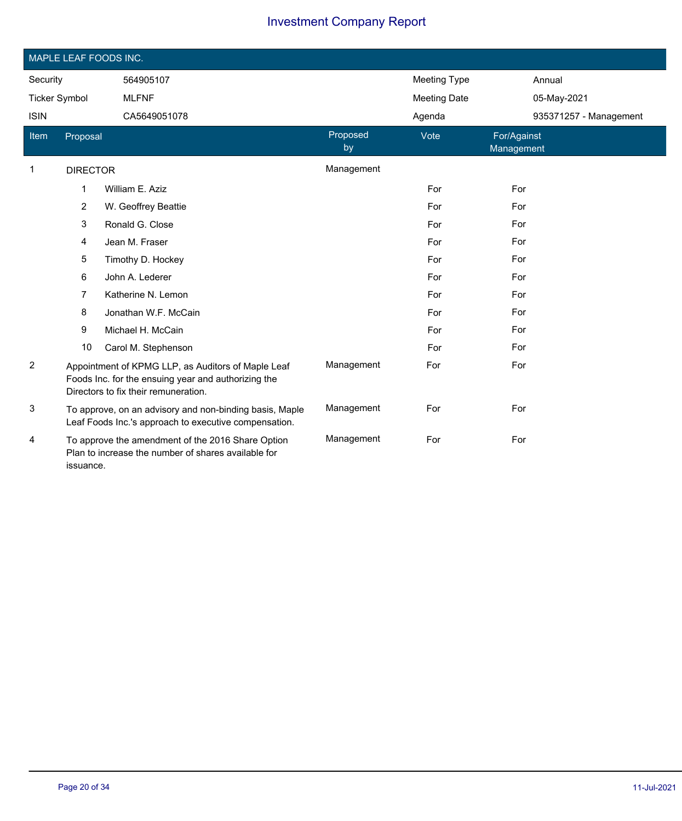|                      | MAPLE LEAF FOODS INC. |                                                                                                                                                   |                |                     |                           |  |  |  |
|----------------------|-----------------------|---------------------------------------------------------------------------------------------------------------------------------------------------|----------------|---------------------|---------------------------|--|--|--|
| Security             |                       | 564905107                                                                                                                                         |                | <b>Meeting Type</b> | Annual                    |  |  |  |
| <b>Ticker Symbol</b> |                       | <b>MLFNF</b>                                                                                                                                      |                | <b>Meeting Date</b> | 05-May-2021               |  |  |  |
| <b>ISIN</b>          |                       | CA5649051078                                                                                                                                      |                | Agenda              | 935371257 - Management    |  |  |  |
| Item                 | Proposal              |                                                                                                                                                   | Proposed<br>by | Vote                | For/Against<br>Management |  |  |  |
| 1                    | <b>DIRECTOR</b>       |                                                                                                                                                   | Management     |                     |                           |  |  |  |
|                      | 1                     | William E. Aziz                                                                                                                                   |                | For                 | For                       |  |  |  |
|                      | 2                     | W. Geoffrey Beattie                                                                                                                               |                | For                 | For                       |  |  |  |
|                      | 3                     | Ronald G. Close                                                                                                                                   |                | For                 | For                       |  |  |  |
|                      | 4                     | Jean M. Fraser                                                                                                                                    |                | For                 | For                       |  |  |  |
|                      | 5                     | Timothy D. Hockey                                                                                                                                 |                | For                 | For                       |  |  |  |
|                      | 6                     | John A. Lederer                                                                                                                                   |                | For                 | For                       |  |  |  |
|                      | 7                     | Katherine N. Lemon                                                                                                                                |                | For                 | For                       |  |  |  |
|                      | 8                     | Jonathan W.F. McCain                                                                                                                              |                | For                 | For                       |  |  |  |
|                      | 9                     | Michael H. McCain                                                                                                                                 |                | For                 | For                       |  |  |  |
|                      | 10                    | Carol M. Stephenson                                                                                                                               |                | For                 | For                       |  |  |  |
| $\overline{2}$       |                       | Appointment of KPMG LLP, as Auditors of Maple Leaf<br>Foods Inc. for the ensuing year and authorizing the<br>Directors to fix their remuneration. | Management     | For                 | For                       |  |  |  |
| 3                    |                       | To approve, on an advisory and non-binding basis, Maple<br>Leaf Foods Inc.'s approach to executive compensation.                                  | Management     | For                 | For                       |  |  |  |
| 4                    | issuance.             | To approve the amendment of the 2016 Share Option<br>Plan to increase the number of shares available for                                          | Management     | For                 | For                       |  |  |  |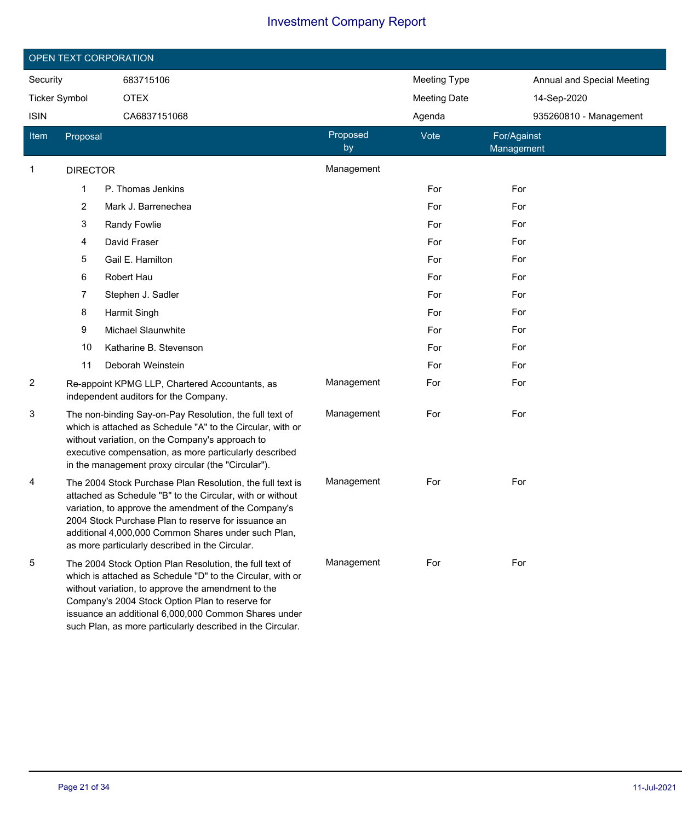|               | OPEN TEXT CORPORATION |                                                                                                                                                                                                                                                                                                                                                      |                |                     |                            |  |  |  |
|---------------|-----------------------|------------------------------------------------------------------------------------------------------------------------------------------------------------------------------------------------------------------------------------------------------------------------------------------------------------------------------------------------------|----------------|---------------------|----------------------------|--|--|--|
| Security      |                       | 683715106                                                                                                                                                                                                                                                                                                                                            |                | <b>Meeting Type</b> | Annual and Special Meeting |  |  |  |
| Ticker Symbol |                       | <b>OTEX</b>                                                                                                                                                                                                                                                                                                                                          |                | <b>Meeting Date</b> | 14-Sep-2020                |  |  |  |
| <b>ISIN</b>   |                       | CA6837151068                                                                                                                                                                                                                                                                                                                                         |                | Agenda              | 935260810 - Management     |  |  |  |
| Item          | Proposal              |                                                                                                                                                                                                                                                                                                                                                      | Proposed<br>by | Vote                | For/Against<br>Management  |  |  |  |
| 1             | <b>DIRECTOR</b>       |                                                                                                                                                                                                                                                                                                                                                      | Management     |                     |                            |  |  |  |
|               | 1                     | P. Thomas Jenkins                                                                                                                                                                                                                                                                                                                                    |                | For                 | For                        |  |  |  |
|               | 2                     | Mark J. Barrenechea                                                                                                                                                                                                                                                                                                                                  |                | For                 | For                        |  |  |  |
|               | 3                     | Randy Fowlie                                                                                                                                                                                                                                                                                                                                         |                | For                 | For                        |  |  |  |
|               | 4                     | David Fraser                                                                                                                                                                                                                                                                                                                                         |                | For                 | For                        |  |  |  |
|               | 5                     | Gail E. Hamilton                                                                                                                                                                                                                                                                                                                                     |                | For                 | For                        |  |  |  |
|               | 6                     | Robert Hau                                                                                                                                                                                                                                                                                                                                           |                | For                 | For                        |  |  |  |
|               | 7                     | Stephen J. Sadler                                                                                                                                                                                                                                                                                                                                    |                | For                 | For                        |  |  |  |
|               | 8                     | Harmit Singh                                                                                                                                                                                                                                                                                                                                         |                | For                 | For                        |  |  |  |
|               | 9                     | <b>Michael Slaunwhite</b>                                                                                                                                                                                                                                                                                                                            |                | For                 | For                        |  |  |  |
|               | 10                    | Katharine B. Stevenson                                                                                                                                                                                                                                                                                                                               |                | For                 | For                        |  |  |  |
|               | 11                    | Deborah Weinstein                                                                                                                                                                                                                                                                                                                                    |                | For                 | For                        |  |  |  |
| 2             |                       | Re-appoint KPMG LLP, Chartered Accountants, as<br>independent auditors for the Company.                                                                                                                                                                                                                                                              | Management     | For                 | For                        |  |  |  |
| 3             |                       | The non-binding Say-on-Pay Resolution, the full text of<br>which is attached as Schedule "A" to the Circular, with or<br>without variation, on the Company's approach to<br>executive compensation, as more particularly described<br>in the management proxy circular (the "Circular").                                                             | Management     | For                 | For                        |  |  |  |
| 4             |                       | The 2004 Stock Purchase Plan Resolution, the full text is<br>attached as Schedule "B" to the Circular, with or without<br>variation, to approve the amendment of the Company's<br>2004 Stock Purchase Plan to reserve for issuance an<br>additional 4,000,000 Common Shares under such Plan,<br>as more particularly described in the Circular.      | Management     | For                 | For                        |  |  |  |
| 5             |                       | The 2004 Stock Option Plan Resolution, the full text of<br>which is attached as Schedule "D" to the Circular, with or<br>without variation, to approve the amendment to the<br>Company's 2004 Stock Option Plan to reserve for<br>issuance an additional 6,000,000 Common Shares under<br>such Plan, as more particularly described in the Circular. | Management     | For                 | For                        |  |  |  |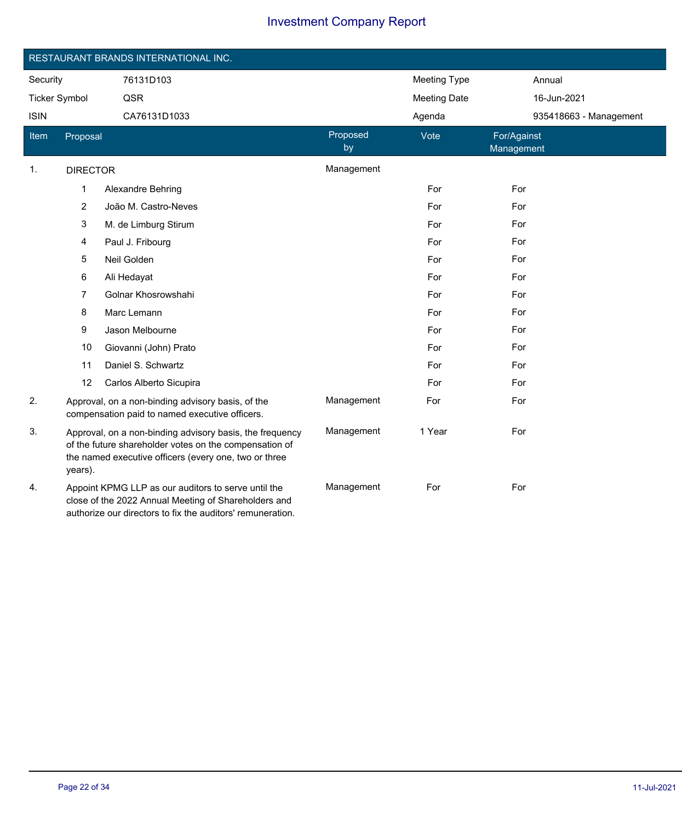|                      | RESTAURANT BRANDS INTERNATIONAL INC.                                                                                                                                                   |                                                                                                                                                                           |                |                     |                           |  |  |  |  |
|----------------------|----------------------------------------------------------------------------------------------------------------------------------------------------------------------------------------|---------------------------------------------------------------------------------------------------------------------------------------------------------------------------|----------------|---------------------|---------------------------|--|--|--|--|
| Security             |                                                                                                                                                                                        | 76131D103                                                                                                                                                                 |                | <b>Meeting Type</b> | Annual                    |  |  |  |  |
| <b>Ticker Symbol</b> |                                                                                                                                                                                        | QSR                                                                                                                                                                       |                | <b>Meeting Date</b> | 16-Jun-2021               |  |  |  |  |
| <b>ISIN</b>          |                                                                                                                                                                                        | CA76131D1033                                                                                                                                                              |                | Agenda              | 935418663 - Management    |  |  |  |  |
| <b>Item</b>          | Proposal                                                                                                                                                                               |                                                                                                                                                                           | Proposed<br>by | Vote                | For/Against<br>Management |  |  |  |  |
| 1.                   | <b>DIRECTOR</b>                                                                                                                                                                        |                                                                                                                                                                           | Management     |                     |                           |  |  |  |  |
|                      | 1                                                                                                                                                                                      | <b>Alexandre Behring</b>                                                                                                                                                  |                | For                 | For                       |  |  |  |  |
|                      | $\sqrt{2}$                                                                                                                                                                             | João M. Castro-Neves                                                                                                                                                      |                | For                 | For                       |  |  |  |  |
|                      | 3                                                                                                                                                                                      | M. de Limburg Stirum                                                                                                                                                      |                | For                 | For                       |  |  |  |  |
|                      | 4                                                                                                                                                                                      | Paul J. Fribourg                                                                                                                                                          |                | For                 | For                       |  |  |  |  |
|                      | 5                                                                                                                                                                                      | Neil Golden                                                                                                                                                               |                | For                 | For                       |  |  |  |  |
|                      | 6                                                                                                                                                                                      | Ali Hedayat                                                                                                                                                               |                | For                 | For                       |  |  |  |  |
|                      | 7                                                                                                                                                                                      | Golnar Khosrowshahi                                                                                                                                                       |                | For                 | For                       |  |  |  |  |
|                      | 8                                                                                                                                                                                      | Marc Lemann                                                                                                                                                               |                | For                 | For                       |  |  |  |  |
|                      | 9                                                                                                                                                                                      | Jason Melbourne                                                                                                                                                           |                | For                 | For                       |  |  |  |  |
|                      | 10                                                                                                                                                                                     | Giovanni (John) Prato                                                                                                                                                     |                | For                 | For                       |  |  |  |  |
|                      | 11                                                                                                                                                                                     | Daniel S. Schwartz                                                                                                                                                        |                | For                 | For                       |  |  |  |  |
|                      | 12                                                                                                                                                                                     | Carlos Alberto Sicupira                                                                                                                                                   |                | For                 | For                       |  |  |  |  |
| 2.                   |                                                                                                                                                                                        | Approval, on a non-binding advisory basis, of the<br>compensation paid to named executive officers.                                                                       | Management     | For                 | For                       |  |  |  |  |
| 3.                   | Approval, on a non-binding advisory basis, the frequency<br>of the future shareholder votes on the compensation of<br>the named executive officers (every one, two or three<br>years). |                                                                                                                                                                           | Management     | 1 Year              | For                       |  |  |  |  |
| 4.                   |                                                                                                                                                                                        | Appoint KPMG LLP as our auditors to serve until the<br>close of the 2022 Annual Meeting of Shareholders and<br>authorize our directors to fix the auditors' remuneration. | Management     | For                 | For                       |  |  |  |  |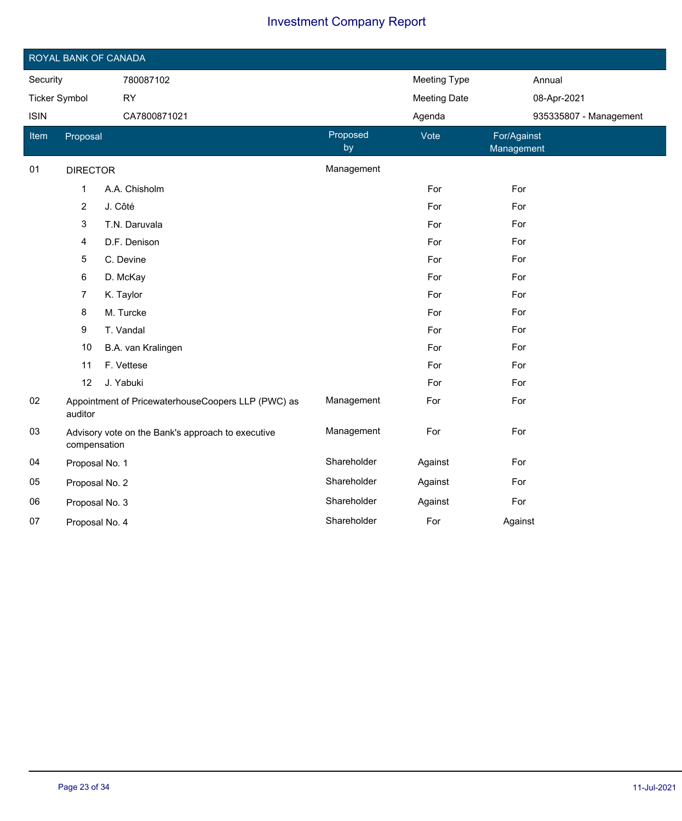|                       | ROYAL BANK OF CANADA                                              |                                                    |                     |                     |                           |  |  |  |  |
|-----------------------|-------------------------------------------------------------------|----------------------------------------------------|---------------------|---------------------|---------------------------|--|--|--|--|
| Security<br>780087102 |                                                                   |                                                    | <b>Meeting Type</b> | Annual              |                           |  |  |  |  |
| <b>Ticker Symbol</b>  |                                                                   | <b>RY</b>                                          |                     | <b>Meeting Date</b> | 08-Apr-2021               |  |  |  |  |
| <b>ISIN</b>           |                                                                   | CA7800871021                                       |                     | Agenda              | 935335807 - Management    |  |  |  |  |
| Item                  | Proposal                                                          |                                                    | Proposed<br>by      | Vote                | For/Against<br>Management |  |  |  |  |
| 01                    | <b>DIRECTOR</b>                                                   |                                                    | Management          |                     |                           |  |  |  |  |
|                       | $\mathbf{1}$                                                      | A.A. Chisholm                                      |                     | For                 | For                       |  |  |  |  |
|                       | $\overline{c}$                                                    | J. Côté                                            |                     | For                 | For                       |  |  |  |  |
|                       | 3                                                                 | T.N. Daruvala                                      |                     | For                 | For                       |  |  |  |  |
|                       | 4                                                                 | D.F. Denison                                       |                     | For                 | For                       |  |  |  |  |
|                       | 5                                                                 | C. Devine                                          |                     | For                 | For                       |  |  |  |  |
|                       | 6                                                                 | D. McKay                                           |                     | For                 | For                       |  |  |  |  |
|                       | 7                                                                 | K. Taylor                                          |                     | For                 | For                       |  |  |  |  |
|                       | 8                                                                 | M. Turcke                                          |                     | For                 | For                       |  |  |  |  |
|                       | 9                                                                 | T. Vandal                                          |                     | For                 | For                       |  |  |  |  |
|                       | 10                                                                | B.A. van Kralingen                                 |                     | For                 | For                       |  |  |  |  |
|                       | 11                                                                | F. Vettese                                         |                     | For                 | For                       |  |  |  |  |
|                       | 12                                                                | J. Yabuki                                          |                     | For                 | For                       |  |  |  |  |
| 02                    | auditor                                                           | Appointment of PricewaterhouseCoopers LLP (PWC) as | Management          | For                 | For                       |  |  |  |  |
| 03                    | Advisory vote on the Bank's approach to executive<br>compensation |                                                    | Management          | For                 | For                       |  |  |  |  |
| 04                    | Proposal No. 1                                                    |                                                    | Shareholder         | Against             | For                       |  |  |  |  |
| 05                    | Proposal No. 2                                                    |                                                    | Shareholder         | Against             | For                       |  |  |  |  |
| 06                    | Proposal No. 3                                                    |                                                    | Shareholder         | Against             | For                       |  |  |  |  |
| 07                    | Proposal No. 4                                                    |                                                    | Shareholder         | For                 | Against                   |  |  |  |  |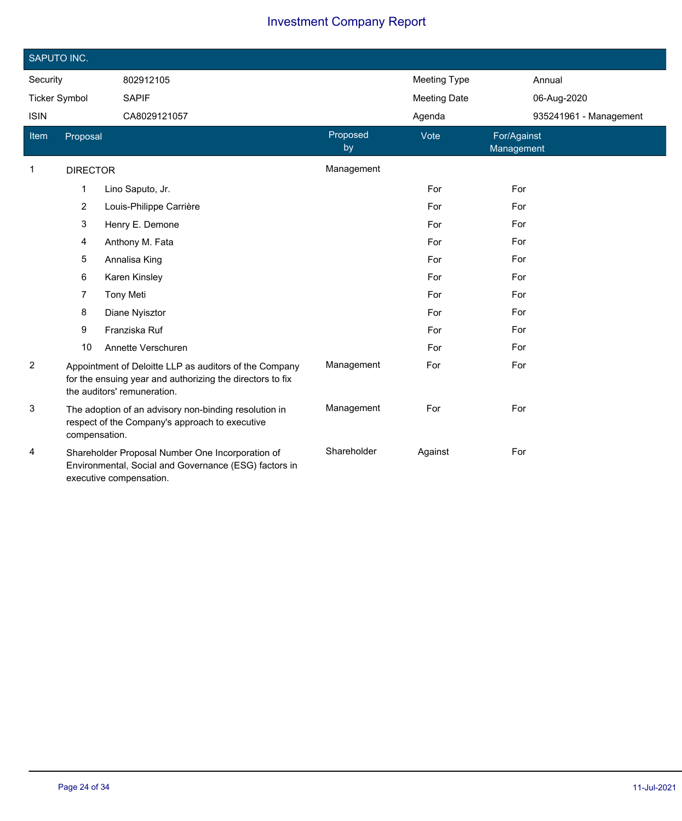|                      | SAPUTO INC.     |                                                                                                                                                    |                |                     |                           |  |  |  |  |
|----------------------|-----------------|----------------------------------------------------------------------------------------------------------------------------------------------------|----------------|---------------------|---------------------------|--|--|--|--|
| Security             |                 | 802912105                                                                                                                                          |                | <b>Meeting Type</b> | Annual                    |  |  |  |  |
| <b>Ticker Symbol</b> |                 | <b>SAPIF</b>                                                                                                                                       |                | <b>Meeting Date</b> | 06-Aug-2020               |  |  |  |  |
| <b>ISIN</b>          |                 | CA8029121057                                                                                                                                       |                | Agenda              | 935241961 - Management    |  |  |  |  |
| Item                 | Proposal        |                                                                                                                                                    | Proposed<br>by | Vote                | For/Against<br>Management |  |  |  |  |
| $\mathbf{1}$         | <b>DIRECTOR</b> |                                                                                                                                                    | Management     |                     |                           |  |  |  |  |
|                      | 1               | Lino Saputo, Jr.                                                                                                                                   |                | For                 | For                       |  |  |  |  |
|                      | $\overline{c}$  | Louis-Philippe Carrière                                                                                                                            |                | For                 | For                       |  |  |  |  |
|                      | 3               | Henry E. Demone                                                                                                                                    |                | For                 | For                       |  |  |  |  |
|                      | 4               | Anthony M. Fata                                                                                                                                    |                | For                 | For                       |  |  |  |  |
|                      | 5               | Annalisa King                                                                                                                                      |                | For                 | For                       |  |  |  |  |
|                      | 6               | Karen Kinsley                                                                                                                                      |                | For                 | For                       |  |  |  |  |
|                      | 7               | <b>Tony Meti</b>                                                                                                                                   |                | For                 | For                       |  |  |  |  |
|                      | 8               | Diane Nyisztor                                                                                                                                     |                | For                 | For                       |  |  |  |  |
|                      | 9               | Franziska Ruf                                                                                                                                      |                | For                 | For                       |  |  |  |  |
|                      | 10              | Annette Verschuren                                                                                                                                 |                | For                 | For                       |  |  |  |  |
| 2                    |                 | Appointment of Deloitte LLP as auditors of the Company<br>for the ensuing year and authorizing the directors to fix<br>the auditors' remuneration. | Management     | For                 | For                       |  |  |  |  |
| 3                    | compensation.   | The adoption of an advisory non-binding resolution in<br>respect of the Company's approach to executive                                            | Management     | For                 | For                       |  |  |  |  |
| 4                    |                 | Shareholder Proposal Number One Incorporation of<br>Environmental, Social and Governance (ESG) factors in<br>executive compensation.               | Shareholder    | Against             | For                       |  |  |  |  |

 $\overline{\phantom{a}}$ 

Ī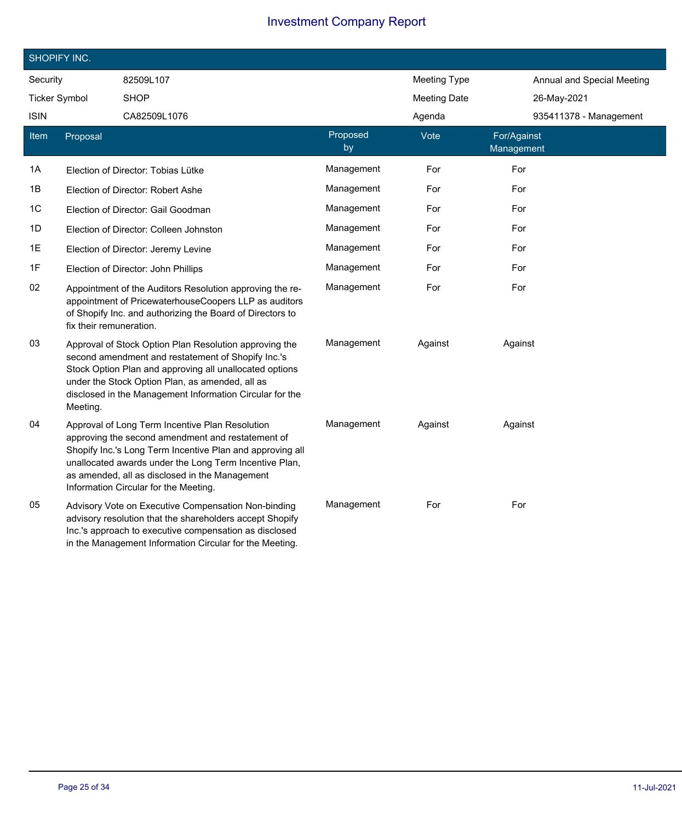|                | SHOPIFY INC.            |                                                                                                                                                                                                                                                                                                                        |                |                     |                            |  |
|----------------|-------------------------|------------------------------------------------------------------------------------------------------------------------------------------------------------------------------------------------------------------------------------------------------------------------------------------------------------------------|----------------|---------------------|----------------------------|--|
| Security       |                         | 82509L107                                                                                                                                                                                                                                                                                                              |                | <b>Meeting Type</b> | Annual and Special Meeting |  |
|                | <b>Ticker Symbol</b>    | <b>SHOP</b>                                                                                                                                                                                                                                                                                                            |                | <b>Meeting Date</b> | 26-May-2021                |  |
| <b>ISIN</b>    |                         | CA82509L1076                                                                                                                                                                                                                                                                                                           |                | Agenda              | 935411378 - Management     |  |
| Item           | Proposal                |                                                                                                                                                                                                                                                                                                                        | Proposed<br>by | Vote                | For/Against<br>Management  |  |
| 1A             |                         | Election of Director: Tobias Lütke                                                                                                                                                                                                                                                                                     | Management     | For                 | For                        |  |
| 1Β             |                         | Election of Director: Robert Ashe                                                                                                                                                                                                                                                                                      | Management     | For                 | For                        |  |
| 1 <sup>C</sup> |                         | Election of Director: Gail Goodman                                                                                                                                                                                                                                                                                     | Management     | For                 | For                        |  |
| 1D             |                         | Election of Director: Colleen Johnston                                                                                                                                                                                                                                                                                 | Management     | For                 | For                        |  |
| 1E             |                         | Election of Director: Jeremy Levine                                                                                                                                                                                                                                                                                    | Management     | For                 | For                        |  |
| 1F             |                         | Election of Director: John Phillips                                                                                                                                                                                                                                                                                    | Management     | For                 | For                        |  |
| 02             | fix their remuneration. | Appointment of the Auditors Resolution approving the re-<br>appointment of PricewaterhouseCoopers LLP as auditors<br>of Shopify Inc. and authorizing the Board of Directors to                                                                                                                                         | Management     | For                 | For                        |  |
| 03             | Meeting.                | Approval of Stock Option Plan Resolution approving the<br>second amendment and restatement of Shopify Inc.'s<br>Stock Option Plan and approving all unallocated options<br>under the Stock Option Plan, as amended, all as<br>disclosed in the Management Information Circular for the                                 | Management     | Against             | Against                    |  |
| 04             |                         | Approval of Long Term Incentive Plan Resolution<br>approving the second amendment and restatement of<br>Shopify Inc.'s Long Term Incentive Plan and approving all<br>unallocated awards under the Long Term Incentive Plan,<br>as amended, all as disclosed in the Management<br>Information Circular for the Meeting. | Management     | Against             | Against                    |  |
| 05             |                         | Advisory Vote on Executive Compensation Non-binding<br>advisory resolution that the shareholders accept Shopify<br>Inc.'s approach to executive compensation as disclosed<br>in the Management Information Circular for the Meeting.                                                                                   | Management     | For                 | For                        |  |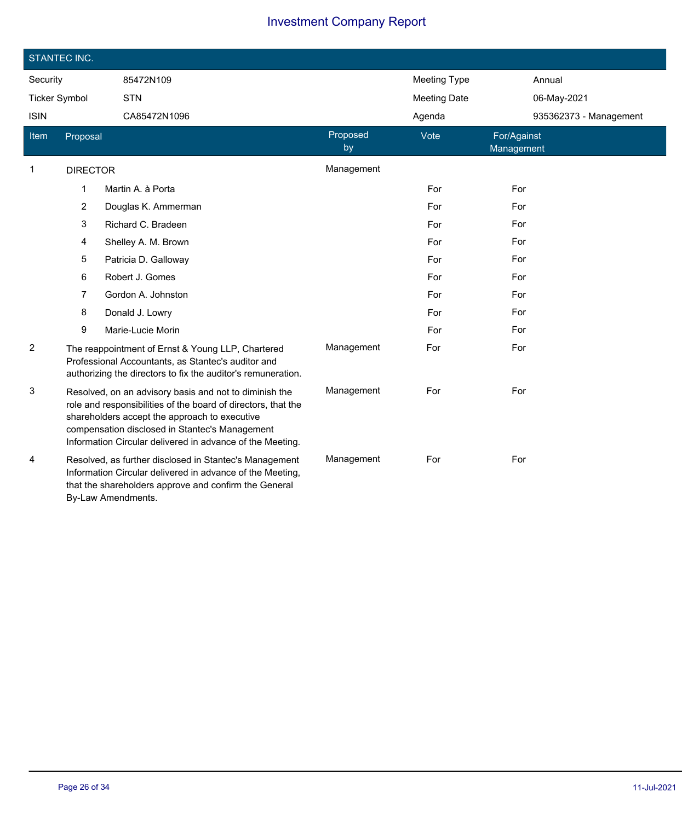| STANTEC INC.         |                                                                                                                                                                                                    |                                                                                                                                                                                                                                                                                         |                |                     |                           |  |
|----------------------|----------------------------------------------------------------------------------------------------------------------------------------------------------------------------------------------------|-----------------------------------------------------------------------------------------------------------------------------------------------------------------------------------------------------------------------------------------------------------------------------------------|----------------|---------------------|---------------------------|--|
| Security             |                                                                                                                                                                                                    | 85472N109                                                                                                                                                                                                                                                                               |                | <b>Meeting Type</b> | Annual                    |  |
| <b>Ticker Symbol</b> |                                                                                                                                                                                                    | <b>STN</b>                                                                                                                                                                                                                                                                              |                | <b>Meeting Date</b> | 06-May-2021               |  |
| <b>ISIN</b>          |                                                                                                                                                                                                    | CA85472N1096                                                                                                                                                                                                                                                                            |                | Agenda              | 935362373 - Management    |  |
| Item                 | Proposal                                                                                                                                                                                           |                                                                                                                                                                                                                                                                                         | Proposed<br>by | Vote                | For/Against<br>Management |  |
| 1                    | <b>DIRECTOR</b>                                                                                                                                                                                    |                                                                                                                                                                                                                                                                                         | Management     |                     |                           |  |
|                      | 1                                                                                                                                                                                                  | Martin A. à Porta                                                                                                                                                                                                                                                                       |                | For                 | For                       |  |
|                      | 2                                                                                                                                                                                                  | Douglas K. Ammerman                                                                                                                                                                                                                                                                     |                | For                 | For                       |  |
|                      | 3                                                                                                                                                                                                  | Richard C. Bradeen                                                                                                                                                                                                                                                                      |                | For                 | For                       |  |
|                      | 4                                                                                                                                                                                                  | Shelley A. M. Brown                                                                                                                                                                                                                                                                     |                | For                 | For                       |  |
|                      | 5                                                                                                                                                                                                  | Patricia D. Galloway                                                                                                                                                                                                                                                                    |                | For                 | For                       |  |
|                      | 6                                                                                                                                                                                                  | Robert J. Gomes                                                                                                                                                                                                                                                                         |                | For                 | For                       |  |
|                      | 7                                                                                                                                                                                                  | Gordon A. Johnston                                                                                                                                                                                                                                                                      |                | For                 | For                       |  |
|                      | 8                                                                                                                                                                                                  | Donald J. Lowry                                                                                                                                                                                                                                                                         |                | For                 | For                       |  |
|                      | 9                                                                                                                                                                                                  | Marie-Lucie Morin                                                                                                                                                                                                                                                                       |                | For                 | For                       |  |
| 2                    |                                                                                                                                                                                                    | The reappointment of Ernst & Young LLP, Chartered<br>Professional Accountants, as Stantec's auditor and<br>authorizing the directors to fix the auditor's remuneration.                                                                                                                 | Management     | For                 | For                       |  |
| 3                    |                                                                                                                                                                                                    | Resolved, on an advisory basis and not to diminish the<br>role and responsibilities of the board of directors, that the<br>shareholders accept the approach to executive<br>compensation disclosed in Stantec's Management<br>Information Circular delivered in advance of the Meeting. | Management     | For                 | For                       |  |
| 4                    | Resolved, as further disclosed in Stantec's Management<br>Information Circular delivered in advance of the Meeting,<br>that the shareholders approve and confirm the General<br>By-Law Amendments. |                                                                                                                                                                                                                                                                                         | Management     | For                 | For                       |  |

I

I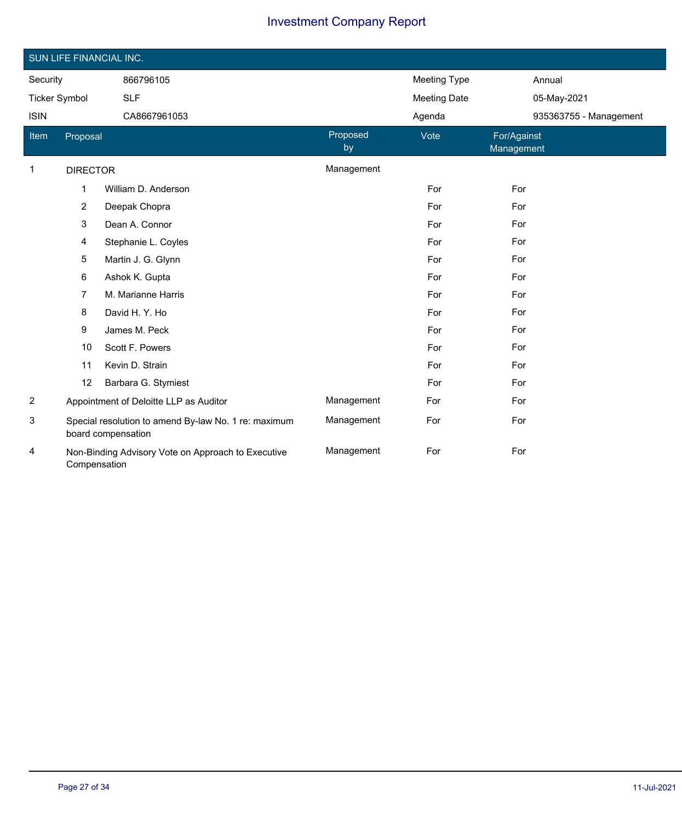|                | SUN LIFE FINANCIAL INC. |                                                                            |                |                     |                           |  |  |
|----------------|-------------------------|----------------------------------------------------------------------------|----------------|---------------------|---------------------------|--|--|
| Security       |                         | 866796105                                                                  |                | <b>Meeting Type</b> | Annual                    |  |  |
|                | <b>Ticker Symbol</b>    | <b>SLF</b>                                                                 |                | <b>Meeting Date</b> | 05-May-2021               |  |  |
| <b>ISIN</b>    |                         | CA8667961053                                                               |                | Agenda              | 935363755 - Management    |  |  |
| Item           | Proposal                |                                                                            | Proposed<br>by | Vote                | For/Against<br>Management |  |  |
| 1              | <b>DIRECTOR</b>         |                                                                            | Management     |                     |                           |  |  |
|                | 1                       | William D. Anderson                                                        |                | For                 | For                       |  |  |
|                | $\overline{2}$          | Deepak Chopra                                                              |                | For                 | For                       |  |  |
|                | 3                       | Dean A. Connor                                                             |                | For                 | For                       |  |  |
|                | 4                       | Stephanie L. Coyles                                                        |                | For                 | For                       |  |  |
|                | 5                       | Martin J. G. Glynn                                                         |                | For                 | For                       |  |  |
|                | 6                       | Ashok K. Gupta                                                             |                | For                 | For                       |  |  |
|                | $\overline{7}$          | M. Marianne Harris                                                         |                | For                 | For                       |  |  |
|                | 8                       | David H. Y. Ho                                                             |                | For                 | For                       |  |  |
|                | 9                       | James M. Peck                                                              |                | For                 | For                       |  |  |
|                | 10                      | Scott F. Powers                                                            |                | For                 | For                       |  |  |
|                | 11                      | Kevin D. Strain                                                            |                | For                 | For                       |  |  |
|                | 12                      | Barbara G. Stymiest                                                        |                | For                 | For                       |  |  |
| $\overline{c}$ |                         | Appointment of Deloitte LLP as Auditor                                     | Management     | For                 | For                       |  |  |
| 3              |                         | Special resolution to amend By-law No. 1 re: maximum<br>board compensation | Management     | For                 | For                       |  |  |
| 4              | Compensation            | Non-Binding Advisory Vote on Approach to Executive                         | Management     | For                 | For                       |  |  |

Ī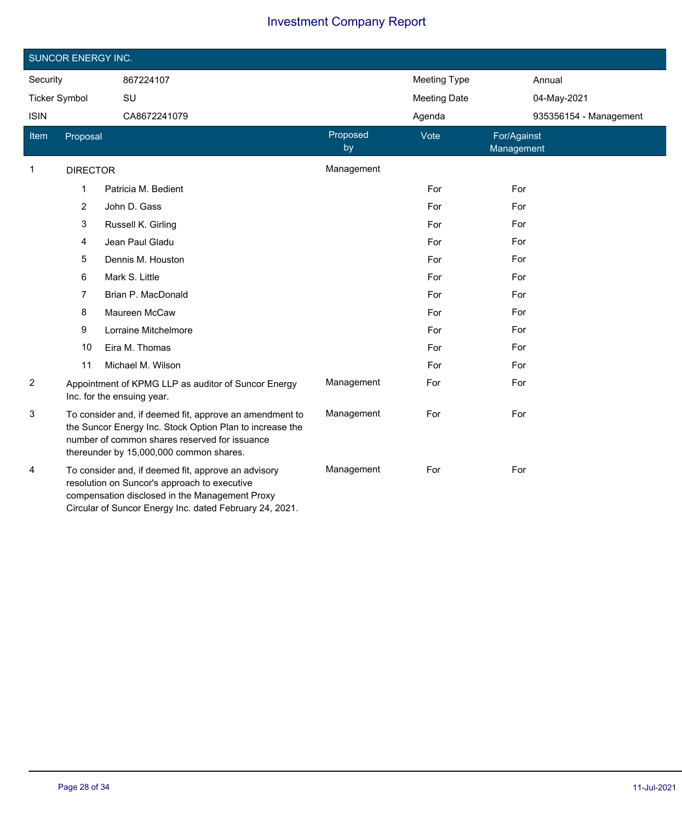|                      | <b>SUNCOR ENERGY INC.</b> |                                                                                                                                                                                                                  |                |                     |                           |
|----------------------|---------------------------|------------------------------------------------------------------------------------------------------------------------------------------------------------------------------------------------------------------|----------------|---------------------|---------------------------|
| Security             |                           | 867224107                                                                                                                                                                                                        |                | <b>Meeting Type</b> | Annual                    |
| <b>Ticker Symbol</b> |                           | SU                                                                                                                                                                                                               |                | <b>Meeting Date</b> | 04-May-2021               |
| <b>ISIN</b>          |                           | CA8672241079                                                                                                                                                                                                     |                | Agenda              | 935356154 - Management    |
| Item                 | Proposal                  |                                                                                                                                                                                                                  | Proposed<br>by | Vote                | For/Against<br>Management |
| 1                    | <b>DIRECTOR</b>           |                                                                                                                                                                                                                  | Management     |                     |                           |
|                      | 1                         | Patricia M. Bedient                                                                                                                                                                                              |                | For                 | For                       |
|                      | $\overline{2}$            | John D. Gass                                                                                                                                                                                                     |                | For                 | For                       |
|                      | 3                         | Russell K. Girling                                                                                                                                                                                               |                | For                 | For                       |
|                      | 4                         | Jean Paul Gladu                                                                                                                                                                                                  |                | For                 | For                       |
|                      | 5                         | Dennis M. Houston                                                                                                                                                                                                |                | For                 | For                       |
|                      | 6                         | Mark S. Little                                                                                                                                                                                                   |                | For                 | For                       |
|                      | 7                         | Brian P. MacDonald                                                                                                                                                                                               |                | For                 | For                       |
|                      | 8                         | Maureen McCaw                                                                                                                                                                                                    |                | For                 | For                       |
|                      | 9                         | Lorraine Mitchelmore                                                                                                                                                                                             |                | For                 | For                       |
|                      | 10                        | Eira M. Thomas                                                                                                                                                                                                   |                | For                 | For                       |
|                      | 11                        | Michael M. Wilson                                                                                                                                                                                                |                | For                 | For                       |
| $\overline{2}$       |                           | Appointment of KPMG LLP as auditor of Suncor Energy<br>Inc. for the ensuing year.                                                                                                                                | Management     | For                 | For                       |
| 3                    |                           | To consider and, if deemed fit, approve an amendment to<br>the Suncor Energy Inc. Stock Option Plan to increase the<br>number of common shares reserved for issuance<br>thereunder by 15,000,000 common shares.  | Management     | For                 | For                       |
| 4                    |                           | To consider and, if deemed fit, approve an advisory<br>resolution on Suncor's approach to executive<br>compensation disclosed in the Management Proxy<br>Circular of Suncor Energy Inc. dated February 24, 2021. | Management     | For                 | For                       |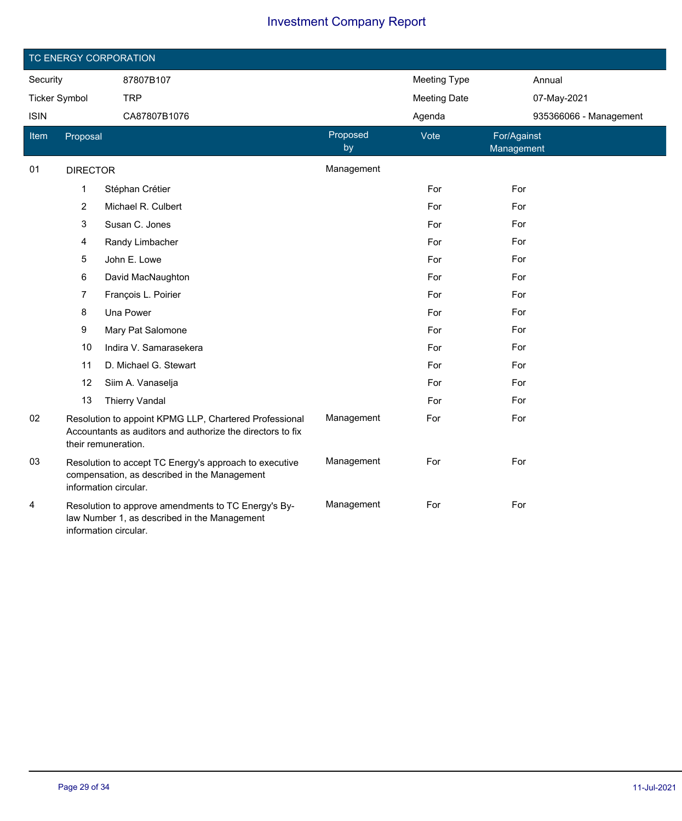|                       |                      | TC ENERGY CORPORATION                                                                                                                       |                     |                     |                           |
|-----------------------|----------------------|---------------------------------------------------------------------------------------------------------------------------------------------|---------------------|---------------------|---------------------------|
| Security<br>87807B107 |                      |                                                                                                                                             | <b>Meeting Type</b> | Annual              |                           |
|                       | <b>Ticker Symbol</b> | <b>TRP</b>                                                                                                                                  |                     | <b>Meeting Date</b> | 07-May-2021               |
| <b>ISIN</b>           |                      | CA87807B1076                                                                                                                                |                     | Agenda              | 935366066 - Management    |
| Item                  | Proposal             |                                                                                                                                             | Proposed<br>by      | Vote                | For/Against<br>Management |
| 01                    | <b>DIRECTOR</b>      |                                                                                                                                             | Management          |                     |                           |
|                       | 1                    | Stéphan Crétier                                                                                                                             |                     | For                 | For                       |
|                       | $\overline{c}$       | Michael R. Culbert                                                                                                                          |                     | For                 | For                       |
|                       | 3                    | Susan C. Jones                                                                                                                              |                     | For                 | For                       |
|                       | 4                    | Randy Limbacher                                                                                                                             |                     | For                 | For                       |
|                       | 5                    | John E. Lowe                                                                                                                                |                     | For                 | For                       |
|                       | 6                    | David MacNaughton                                                                                                                           |                     | For                 | For                       |
|                       | $\overline{7}$       | François L. Poirier                                                                                                                         |                     | For                 | For                       |
|                       | 8                    | Una Power                                                                                                                                   |                     | For                 | For                       |
|                       | 9                    | Mary Pat Salomone                                                                                                                           |                     | For                 | For                       |
|                       | 10                   | Indira V. Samarasekera                                                                                                                      |                     | For                 | For                       |
|                       | 11                   | D. Michael G. Stewart                                                                                                                       |                     | For                 | For                       |
|                       | 12                   | Siim A. Vanaselja                                                                                                                           |                     | For                 | For                       |
|                       | 13                   | <b>Thierry Vandal</b>                                                                                                                       |                     | For                 | For                       |
| 02                    |                      | Resolution to appoint KPMG LLP, Chartered Professional<br>Accountants as auditors and authorize the directors to fix<br>their remuneration. | Management          | For                 | For                       |
| 03                    |                      | Resolution to accept TC Energy's approach to executive<br>compensation, as described in the Management<br>information circular.             | Management          | For                 | For                       |
| 4                     |                      | Resolution to approve amendments to TC Energy's By-<br>law Number 1, as described in the Management<br>information circular.                | Management          | For                 | For                       |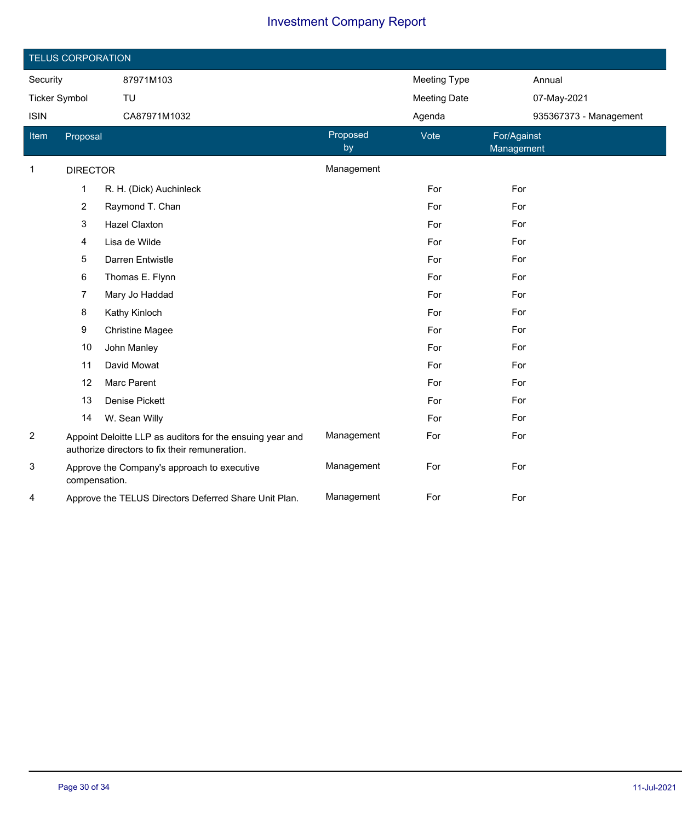| <b>TELUS CORPORATION</b> |                 |                                                                                                             |                |                     |                           |  |
|--------------------------|-----------------|-------------------------------------------------------------------------------------------------------------|----------------|---------------------|---------------------------|--|
| Security                 |                 | 87971M103                                                                                                   |                | <b>Meeting Type</b> | Annual                    |  |
| <b>Ticker Symbol</b>     |                 | TU                                                                                                          |                | <b>Meeting Date</b> | 07-May-2021               |  |
| <b>ISIN</b>              |                 | CA87971M1032                                                                                                |                | Agenda              | 935367373 - Management    |  |
| Item                     | Proposal        |                                                                                                             | Proposed<br>by | Vote                | For/Against<br>Management |  |
| 1                        | <b>DIRECTOR</b> |                                                                                                             | Management     |                     |                           |  |
|                          | $\mathbf{1}$    | R. H. (Dick) Auchinleck                                                                                     |                | For                 | For                       |  |
|                          | $\overline{c}$  | Raymond T. Chan                                                                                             |                | For                 | For                       |  |
|                          | 3               | <b>Hazel Claxton</b>                                                                                        |                | For                 | For                       |  |
|                          | 4               | Lisa de Wilde                                                                                               |                | For                 | For                       |  |
|                          | $\mathbf 5$     | Darren Entwistle                                                                                            |                | For                 | For                       |  |
|                          | 6               | Thomas E. Flynn                                                                                             |                | For                 | For                       |  |
|                          | $\overline{7}$  | Mary Jo Haddad                                                                                              |                | For                 | For                       |  |
|                          | 8               | Kathy Kinloch                                                                                               |                | For                 | For                       |  |
|                          | 9               | <b>Christine Magee</b>                                                                                      |                | For                 | For                       |  |
|                          | 10              | John Manley                                                                                                 |                | For                 | For                       |  |
|                          | 11              | David Mowat                                                                                                 |                | For                 | For                       |  |
|                          | 12              | Marc Parent                                                                                                 |                | For                 | For                       |  |
|                          | 13              | Denise Pickett                                                                                              |                | For                 | For                       |  |
|                          | 14              | W. Sean Willy                                                                                               |                | For                 | For                       |  |
| $\overline{2}$           |                 | Appoint Deloitte LLP as auditors for the ensuing year and<br>authorize directors to fix their remuneration. | Management     | For                 | For                       |  |
| 3                        | compensation.   | Approve the Company's approach to executive                                                                 | Management     | For                 | For                       |  |
| 4                        |                 | Approve the TELUS Directors Deferred Share Unit Plan.                                                       | Management     | For                 | For                       |  |

I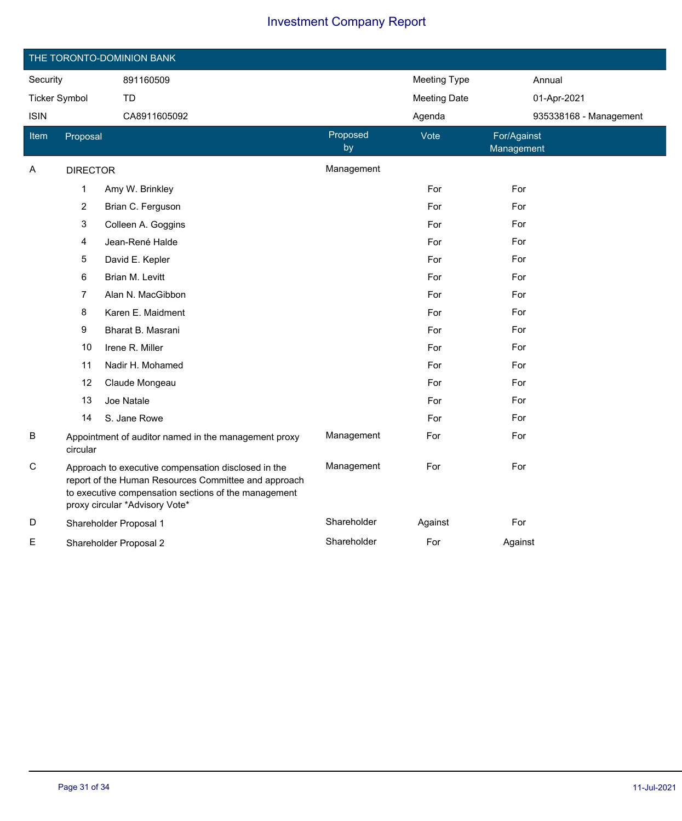| THE TORONTO-DOMINION BANK |                 |                                                                                                                                                                                                       |                |                     |                           |  |
|---------------------------|-----------------|-------------------------------------------------------------------------------------------------------------------------------------------------------------------------------------------------------|----------------|---------------------|---------------------------|--|
| Security                  |                 | 891160509                                                                                                                                                                                             |                | <b>Meeting Type</b> | Annual                    |  |
| <b>Ticker Symbol</b>      |                 | <b>TD</b>                                                                                                                                                                                             |                | <b>Meeting Date</b> | 01-Apr-2021               |  |
| <b>ISIN</b>               |                 | CA8911605092                                                                                                                                                                                          |                | Agenda              | 935338168 - Management    |  |
| <b>Item</b>               | Proposal        |                                                                                                                                                                                                       | Proposed<br>by | Vote                | For/Against<br>Management |  |
| Α                         | <b>DIRECTOR</b> |                                                                                                                                                                                                       | Management     |                     |                           |  |
|                           | 1               | Amy W. Brinkley                                                                                                                                                                                       |                | For                 | For                       |  |
|                           | $\overline{2}$  | Brian C. Ferguson                                                                                                                                                                                     |                | For                 | For                       |  |
|                           | 3               | Colleen A. Goggins                                                                                                                                                                                    |                | For                 | For                       |  |
|                           | 4               | Jean-René Halde                                                                                                                                                                                       |                | For                 | For                       |  |
|                           | 5               | David E. Kepler                                                                                                                                                                                       |                | For                 | For                       |  |
|                           | 6               | Brian M. Levitt                                                                                                                                                                                       |                | For                 | For                       |  |
|                           | 7               | Alan N. MacGibbon                                                                                                                                                                                     |                | For                 | For                       |  |
|                           | 8               | Karen E. Maidment                                                                                                                                                                                     |                | For                 | For                       |  |
|                           | 9               | Bharat B. Masrani                                                                                                                                                                                     |                | For                 | For                       |  |
|                           | 10              | Irene R. Miller                                                                                                                                                                                       |                | For                 | For                       |  |
|                           | 11              | Nadir H. Mohamed                                                                                                                                                                                      |                | For                 | For                       |  |
|                           | 12              | Claude Mongeau                                                                                                                                                                                        |                | For                 | For                       |  |
|                           | 13              | Joe Natale                                                                                                                                                                                            |                | For                 | For                       |  |
|                           | 14              | S. Jane Rowe                                                                                                                                                                                          |                | For                 | For                       |  |
| B                         | circular        | Appointment of auditor named in the management proxy                                                                                                                                                  | Management     | For                 | For                       |  |
| C                         |                 | Approach to executive compensation disclosed in the<br>report of the Human Resources Committee and approach<br>to executive compensation sections of the management<br>proxy circular *Advisory Vote* | Management     | For                 | For                       |  |
| D                         |                 | Shareholder Proposal 1                                                                                                                                                                                | Shareholder    | Against             | For                       |  |
| Е                         |                 | Shareholder Proposal 2                                                                                                                                                                                | Shareholder    | For                 | Against                   |  |

 $\overline{\phantom{a}}$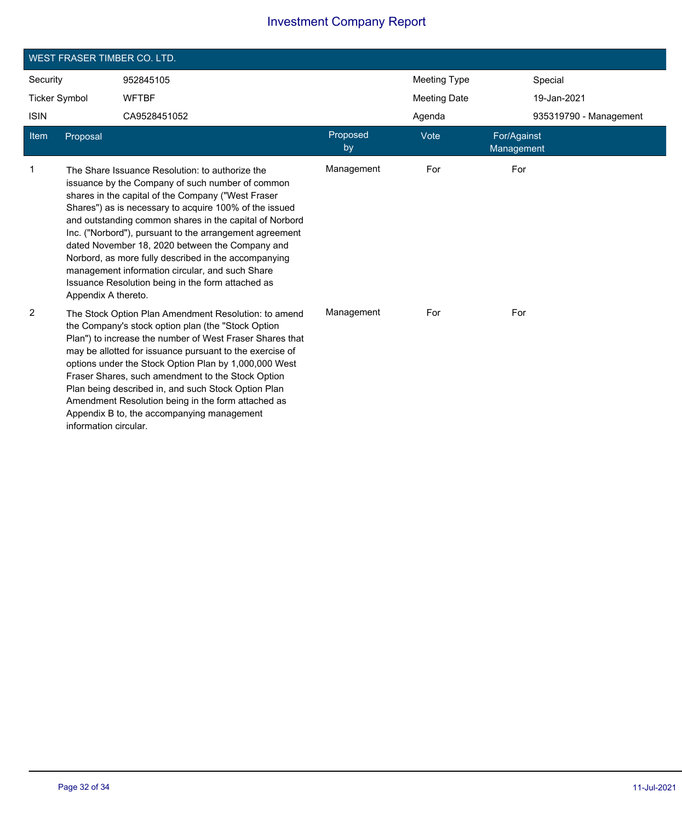| <b>WEST FRASER TIMBER CO. LTD.</b> |                       |                                                                                                                                                                                                                                                                                                                                                                                                                                                                                                                                                              |                |                     |                           |                        |
|------------------------------------|-----------------------|--------------------------------------------------------------------------------------------------------------------------------------------------------------------------------------------------------------------------------------------------------------------------------------------------------------------------------------------------------------------------------------------------------------------------------------------------------------------------------------------------------------------------------------------------------------|----------------|---------------------|---------------------------|------------------------|
| Security                           |                       | 952845105                                                                                                                                                                                                                                                                                                                                                                                                                                                                                                                                                    |                | <b>Meeting Type</b> |                           | Special                |
| <b>Ticker Symbol</b>               |                       | <b>WFTBF</b>                                                                                                                                                                                                                                                                                                                                                                                                                                                                                                                                                 |                | <b>Meeting Date</b> |                           | 19-Jan-2021            |
| <b>ISIN</b>                        |                       | CA9528451052                                                                                                                                                                                                                                                                                                                                                                                                                                                                                                                                                 |                | Agenda              |                           | 935319790 - Management |
| Item                               | Proposal              |                                                                                                                                                                                                                                                                                                                                                                                                                                                                                                                                                              | Proposed<br>by | Vote                | For/Against<br>Management |                        |
| $\mathbf{1}$                       | Appendix A thereto.   | The Share Issuance Resolution: to authorize the<br>issuance by the Company of such number of common<br>shares in the capital of the Company ("West Fraser<br>Shares") as is necessary to acquire 100% of the issued<br>and outstanding common shares in the capital of Norbord<br>Inc. ("Norbord"), pursuant to the arrangement agreement<br>dated November 18, 2020 between the Company and<br>Norbord, as more fully described in the accompanying<br>management information circular, and such Share<br>Issuance Resolution being in the form attached as | Management     | For                 | For                       |                        |
| $\overline{2}$                     | information circular. | The Stock Option Plan Amendment Resolution: to amend<br>the Company's stock option plan (the "Stock Option<br>Plan") to increase the number of West Fraser Shares that<br>may be allotted for issuance pursuant to the exercise of<br>options under the Stock Option Plan by 1,000,000 West<br>Fraser Shares, such amendment to the Stock Option<br>Plan being described in, and such Stock Option Plan<br>Amendment Resolution being in the form attached as<br>Appendix B to, the accompanying management                                                  | Management     | For                 | For                       |                        |

Ī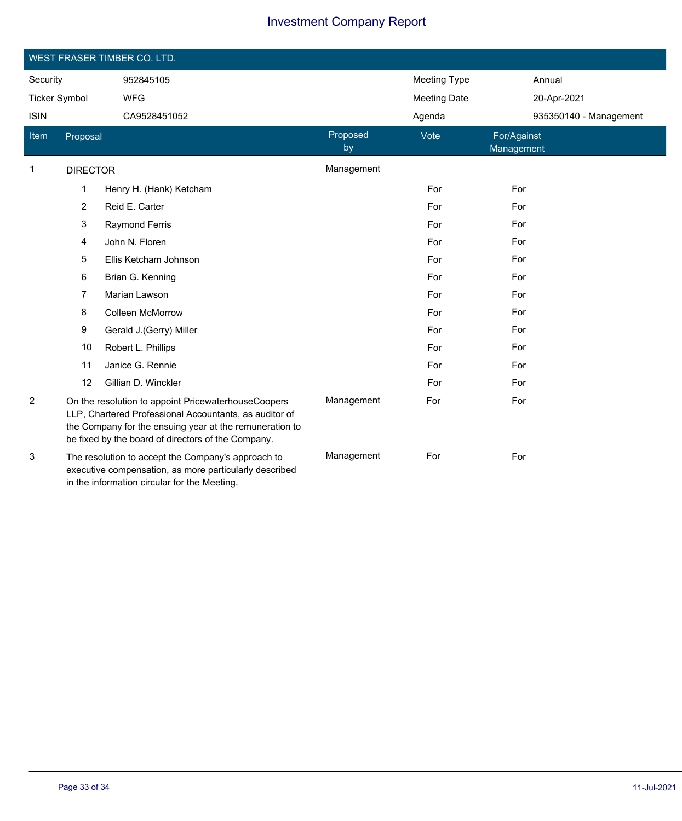| <b>WEST FRASER TIMBER CO. LTD.</b> |                 |                                                                                                                                                                                                                                |                |                     |                           |
|------------------------------------|-----------------|--------------------------------------------------------------------------------------------------------------------------------------------------------------------------------------------------------------------------------|----------------|---------------------|---------------------------|
| Security                           |                 | 952845105                                                                                                                                                                                                                      |                | <b>Meeting Type</b> | Annual                    |
| <b>Ticker Symbol</b>               |                 | <b>WFG</b>                                                                                                                                                                                                                     |                | <b>Meeting Date</b> | 20-Apr-2021               |
| <b>ISIN</b>                        |                 | CA9528451052                                                                                                                                                                                                                   |                | Agenda              | 935350140 - Management    |
| Item                               | Proposal        |                                                                                                                                                                                                                                | Proposed<br>by | Vote                | For/Against<br>Management |
| 1                                  | <b>DIRECTOR</b> |                                                                                                                                                                                                                                | Management     |                     |                           |
|                                    | 1               | Henry H. (Hank) Ketcham                                                                                                                                                                                                        |                | For                 | For                       |
|                                    | $\overline{c}$  | Reid E. Carter                                                                                                                                                                                                                 |                | For                 | For                       |
|                                    | 3               | <b>Raymond Ferris</b>                                                                                                                                                                                                          |                | For                 | For                       |
|                                    | 4               | John N. Floren                                                                                                                                                                                                                 |                | For                 | For                       |
|                                    | 5               | Ellis Ketcham Johnson                                                                                                                                                                                                          |                | For                 | For                       |
|                                    | 6               | Brian G. Kenning                                                                                                                                                                                                               |                | For                 | For                       |
|                                    | 7               | Marian Lawson                                                                                                                                                                                                                  |                | For                 | For                       |
|                                    | 8               | <b>Colleen McMorrow</b>                                                                                                                                                                                                        |                | For                 | For                       |
|                                    | 9               | Gerald J.(Gerry) Miller                                                                                                                                                                                                        |                | For                 | For                       |
|                                    | 10              | Robert L. Phillips                                                                                                                                                                                                             |                | For                 | For                       |
|                                    | 11              | Janice G. Rennie                                                                                                                                                                                                               |                | For                 | For                       |
|                                    | 12              | Gillian D. Winckler                                                                                                                                                                                                            |                | For                 | For                       |
| $\overline{2}$                     |                 | On the resolution to appoint PricewaterhouseCoopers<br>LLP, Chartered Professional Accountants, as auditor of<br>the Company for the ensuing year at the remuneration to<br>be fixed by the board of directors of the Company. | Management     | For                 | For                       |
| 3                                  |                 | The resolution to accept the Company's approach to<br>executive compensation, as more particularly described<br>in the information circular for the Meeting.                                                                   | Management     | For                 | For                       |